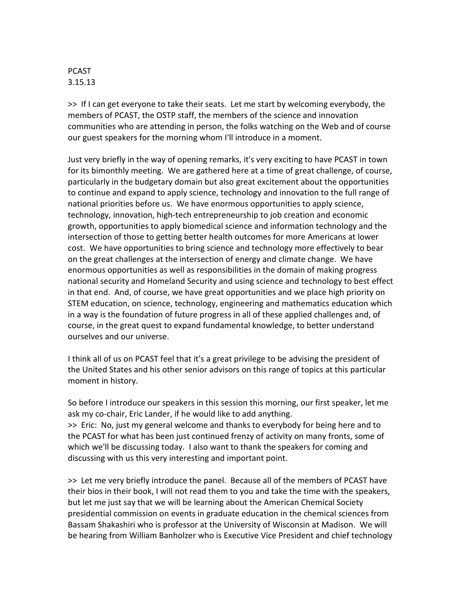## PCAST 3.15.13

>> If I can get everyone to take their seats. Let me start by welcoming everybody, the members of PCAST, the OSTP staff, the members of the science and innovation communities who are attending in person, the folks watching on the Web and of course our guest speakers for the morning whom I'll introduce in a moment.

Just very briefly in the way of opening remarks, it's very exciting to have PCAST in town for its bimonthly meeting. We are gathered here at a time of great challenge, of course, particularly in the budgetary domain but also great excitement about the opportunities to continue and expand to apply science, technology and innovation to the full range of national priorities before us. We have enormous opportunities to apply science, technology, innovation, high-tech entrepreneurship to job creation and economic growth, opportunities to apply biomedical science and information technology and the intersection of those to getting better health outcomes for more Americans at lower cost. We have opportunities to bring science and technology more effectively to bear on the great challenges at the intersection of energy and climate change. We have enormous opportunities as well as responsibilities in the domain of making progress national security and Homeland Security and using science and technology to best effect in that end. And, of course, we have great opportunities and we place high priority on STEM education, on science, technology, engineering and mathematics education which in a way is the foundation of future progress in all of these applied challenges and, of course, in the great quest to expand fundamental knowledge, to better understand ourselves and our universe.

I think all of us on PCAST feel that it's a great privilege to be advising the president of the United States and his other senior advisors on this range of topics at this particular moment in history.

So before I introduce our speakers in this session this morning, our first speaker, let me ask my co-chair, Eric Lander, if he would like to add anything. >> Eric: No, just my general welcome and thanks to everybody for being here and to the PCAST for what has been just continued frenzy of activity on many fronts, some of which we'll be discussing today. I also want to thank the speakers for coming and discussing with us this very interesting and important point.

>> Let me very briefly introduce the panel. Because all of the members of PCAST have their bios in their book, I will not read them to you and take the time with the speakers, but let me just say that we will be learning about the American Chemical Society presidential commission on events in graduate education in the chemical sciences from Bassam Shakashiri who is professor at the University of Wisconsin at Madison. We will be hearing from William Banholzer who is Executive Vice President and chief technology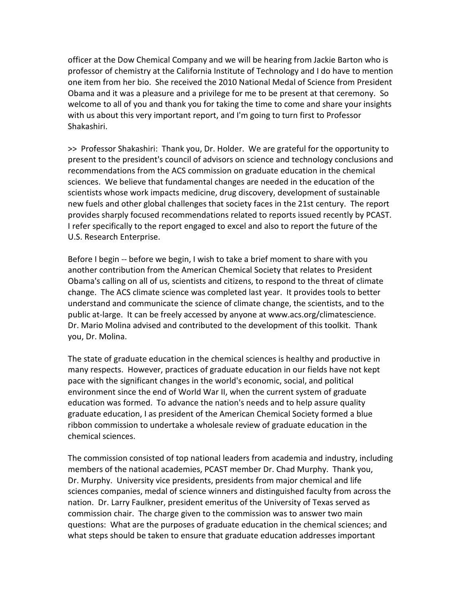officer at the Dow Chemical Company and we will be hearing from Jackie Barton who is professor of chemistry at the California Institute of Technology and I do have to mention one item from her bio. She received the 2010 National Medal of Science from President Obama and it was a pleasure and a privilege for me to be present at that ceremony. So welcome to all of you and thank you for taking the time to come and share your insights with us about this very important report, and I'm going to turn first to Professor Shakashiri.

>> Professor Shakashiri: Thank you, Dr. Holder. We are grateful for the opportunity to present to the president's council of advisors on science and technology conclusions and recommendations from the ACS commission on graduate education in the chemical sciences. We believe that fundamental changes are needed in the education of the scientists whose work impacts medicine, drug discovery, development of sustainable new fuels and other global challenges that society faces in the 21st century. The report provides sharply focused recommendations related to reports issued recently by PCAST. I refer specifically to the report engaged to excel and also to report the future of the U.S. Research Enterprise.

Before I begin -- before we begin, I wish to take a brief moment to share with you another contribution from the American Chemical Society that relates to President Obama's calling on all of us, scientists and citizens, to respond to the threat of climate change. The ACS climate science was completed last year. It provides tools to better understand and communicate the science of climate change, the scientists, and to the public at-large. It can be freely accessed by anyone at www.acs.org/climatescience. Dr. Mario Molina advised and contributed to the development of this toolkit. Thank you, Dr. Molina.

The state of graduate education in the chemical sciences is healthy and productive in many respects. However, practices of graduate education in our fields have not kept pace with the significant changes in the world's economic, social, and political environment since the end of World War II, when the current system of graduate education was formed. To advance the nation's needs and to help assure quality graduate education, I as president of the American Chemical Society formed a blue ribbon commission to undertake a wholesale review of graduate education in the chemical sciences.

The commission consisted of top national leaders from academia and industry, including members of the national academies, PCAST member Dr. Chad Murphy. Thank you, Dr. Murphy. University vice presidents, presidents from major chemical and life sciences companies, medal of science winners and distinguished faculty from across the nation. Dr. Larry Faulkner, president emeritus of the University of Texas served as commission chair. The charge given to the commission was to answer two main questions: What are the purposes of graduate education in the chemical sciences; and what steps should be taken to ensure that graduate education addresses important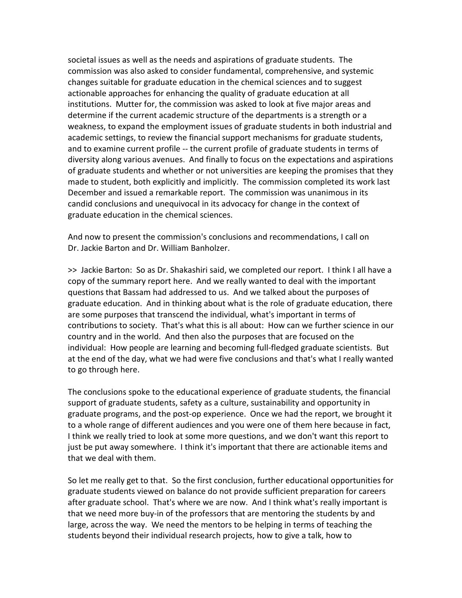societal issues as well as the needs and aspirations of graduate students. The commission was also asked to consider fundamental, comprehensive, and systemic changes suitable for graduate education in the chemical sciences and to suggest actionable approaches for enhancing the quality of graduate education at all institutions. Mutter for, the commission was asked to look at five major areas and determine if the current academic structure of the departments is a strength or a weakness, to expand the employment issues of graduate students in both industrial and academic settings, to review the financial support mechanisms for graduate students, and to examine current profile -- the current profile of graduate students in terms of diversity along various avenues. And finally to focus on the expectations and aspirations of graduate students and whether or not universities are keeping the promises that they made to student, both explicitly and implicitly. The commission completed its work last December and issued a remarkable report. The commission was unanimous in its candid conclusions and unequivocal in its advocacy for change in the context of graduate education in the chemical sciences.

And now to present the commission's conclusions and recommendations, I call on Dr. Jackie Barton and Dr. William Banholzer.

>> Jackie Barton: So as Dr. Shakashiri said, we completed our report. I think I all have a copy of the summary report here. And we really wanted to deal with the important questions that Bassam had addressed to us. And we talked about the purposes of graduate education. And in thinking about what is the role of graduate education, there are some purposes that transcend the individual, what's important in terms of contributions to society. That's what this is all about: How can we further science in our country and in the world. And then also the purposes that are focused on the individual: How people are learning and becoming full-fledged graduate scientists. But at the end of the day, what we had were five conclusions and that's what I really wanted to go through here.

The conclusions spoke to the educational experience of graduate students, the financial support of graduate students, safety as a culture, sustainability and opportunity in graduate programs, and the post-op experience. Once we had the report, we brought it to a whole range of different audiences and you were one of them here because in fact, I think we really tried to look at some more questions, and we don't want this report to just be put away somewhere. I think it's important that there are actionable items and that we deal with them.

So let me really get to that. So the first conclusion, further educational opportunities for graduate students viewed on balance do not provide sufficient preparation for careers after graduate school. That's where we are now. And I think what's really important is that we need more buy-in of the professors that are mentoring the students by and large, across the way. We need the mentors to be helping in terms of teaching the students beyond their individual research projects, how to give a talk, how to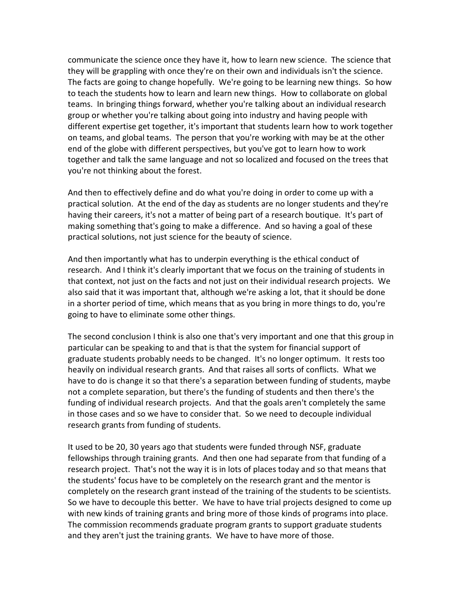communicate the science once they have it, how to learn new science. The science that they will be grappling with once they're on their own and individuals isn't the science. The facts are going to change hopefully. We're going to be learning new things. So how to teach the students how to learn and learn new things. How to collaborate on global teams. In bringing things forward, whether you're talking about an individual research group or whether you're talking about going into industry and having people with different expertise get together, it's important that students learn how to work together on teams, and global teams. The person that you're working with may be at the other end of the globe with different perspectives, but you've got to learn how to work together and talk the same language and not so localized and focused on the trees that you're not thinking about the forest.

And then to effectively define and do what you're doing in order to come up with a practical solution. At the end of the day as students are no longer students and they're having their careers, it's not a matter of being part of a research boutique. It's part of making something that's going to make a difference. And so having a goal of these practical solutions, not just science for the beauty of science.

And then importantly what has to underpin everything is the ethical conduct of research. And I think it's clearly important that we focus on the training of students in that context, not just on the facts and not just on their individual research projects. We also said that it was important that, although we're asking a lot, that it should be done in a shorter period of time, which means that as you bring in more things to do, you're going to have to eliminate some other things.

The second conclusion I think is also one that's very important and one that this group in particular can be speaking to and that is that the system for financial support of graduate students probably needs to be changed. It's no longer optimum. It rests too heavily on individual research grants. And that raises all sorts of conflicts. What we have to do is change it so that there's a separation between funding of students, maybe not a complete separation, but there's the funding of students and then there's the funding of individual research projects. And that the goals aren't completely the same in those cases and so we have to consider that. So we need to decouple individual research grants from funding of students.

It used to be 20, 30 years ago that students were funded through NSF, graduate fellowships through training grants. And then one had separate from that funding of a research project. That's not the way it is in lots of places today and so that means that the students' focus have to be completely on the research grant and the mentor is completely on the research grant instead of the training of the students to be scientists. So we have to decouple this better. We have to have trial projects designed to come up with new kinds of training grants and bring more of those kinds of programs into place. The commission recommends graduate program grants to support graduate students and they aren't just the training grants. We have to have more of those.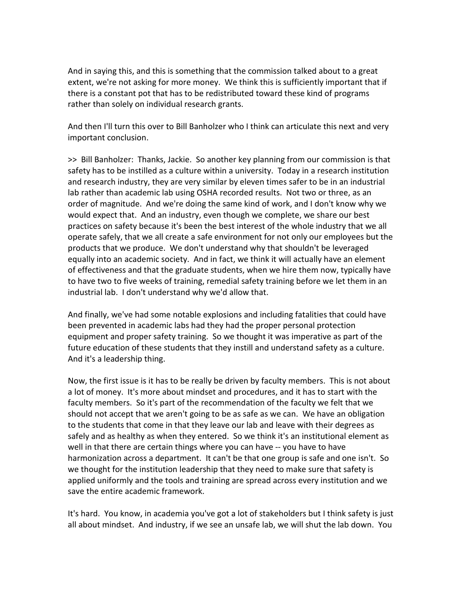And in saying this, and this is something that the commission talked about to a great extent, we're not asking for more money. We think this is sufficiently important that if there is a constant pot that has to be redistributed toward these kind of programs rather than solely on individual research grants.

And then I'll turn this over to Bill Banholzer who I think can articulate this next and very important conclusion.

>> Bill Banholzer: Thanks, Jackie. So another key planning from our commission is that safety has to be instilled as a culture within a university. Today in a research institution and research industry, they are very similar by eleven times safer to be in an industrial lab rather than academic lab using OSHA recorded results. Not two or three, as an order of magnitude. And we're doing the same kind of work, and I don't know why we would expect that. And an industry, even though we complete, we share our best practices on safety because it's been the best interest of the whole industry that we all operate safely, that we all create a safe environment for not only our employees but the products that we produce. We don't understand why that shouldn't be leveraged equally into an academic society. And in fact, we think it will actually have an element of effectiveness and that the graduate students, when we hire them now, typically have to have two to five weeks of training, remedial safety training before we let them in an industrial lab. I don't understand why we'd allow that.

And finally, we've had some notable explosions and including fatalities that could have been prevented in academic labs had they had the proper personal protection equipment and proper safety training. So we thought it was imperative as part of the future education of these students that they instill and understand safety as a culture. And it's a leadership thing.

Now, the first issue is it has to be really be driven by faculty members. This is not about a lot of money. It's more about mindset and procedures, and it has to start with the faculty members. So it's part of the recommendation of the faculty we felt that we should not accept that we aren't going to be as safe as we can. We have an obligation to the students that come in that they leave our lab and leave with their degrees as safely and as healthy as when they entered. So we think it's an institutional element as well in that there are certain things where you can have -- you have to have harmonization across a department. It can't be that one group is safe and one isn't. So we thought for the institution leadership that they need to make sure that safety is applied uniformly and the tools and training are spread across every institution and we save the entire academic framework.

It's hard. You know, in academia you've got a lot of stakeholders but I think safety is just all about mindset. And industry, if we see an unsafe lab, we will shut the lab down. You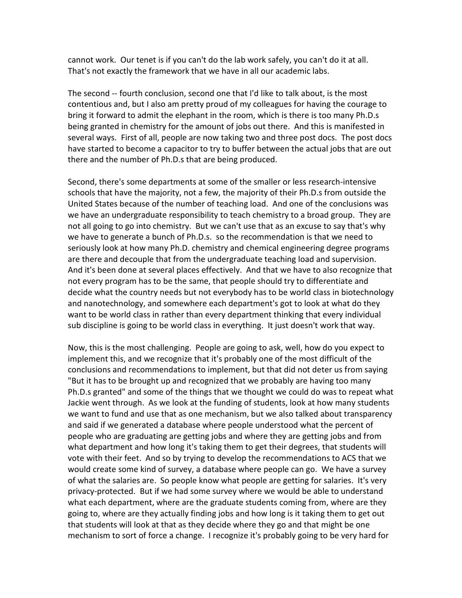cannot work. Our tenet is if you can't do the lab work safely, you can't do it at all. That's not exactly the framework that we have in all our academic labs.

The second -- fourth conclusion, second one that I'd like to talk about, is the most contentious and, but I also am pretty proud of my colleagues for having the courage to bring it forward to admit the elephant in the room, which is there is too many Ph.D.s being granted in chemistry for the amount of jobs out there. And this is manifested in several ways. First of all, people are now taking two and three post docs. The post docs have started to become a capacitor to try to buffer between the actual jobs that are out there and the number of Ph.D.s that are being produced.

Second, there's some departments at some of the smaller or less research-intensive schools that have the majority, not a few, the majority of their Ph.D.s from outside the United States because of the number of teaching load. And one of the conclusions was we have an undergraduate responsibility to teach chemistry to a broad group. They are not all going to go into chemistry. But we can't use that as an excuse to say that's why we have to generate a bunch of Ph.D.s. so the recommendation is that we need to seriously look at how many Ph.D. chemistry and chemical engineering degree programs are there and decouple that from the undergraduate teaching load and supervision. And it's been done at several places effectively. And that we have to also recognize that not every program has to be the same, that people should try to differentiate and decide what the country needs but not everybody has to be world class in biotechnology and nanotechnology, and somewhere each department's got to look at what do they want to be world class in rather than every department thinking that every individual sub discipline is going to be world class in everything. It just doesn't work that way.

Now, this is the most challenging. People are going to ask, well, how do you expect to implement this, and we recognize that it's probably one of the most difficult of the conclusions and recommendations to implement, but that did not deter us from saying "But it has to be brought up and recognized that we probably are having too many Ph.D.s granted" and some of the things that we thought we could do was to repeat what Jackie went through. As we look at the funding of students, look at how many students we want to fund and use that as one mechanism, but we also talked about transparency and said if we generated a database where people understood what the percent of people who are graduating are getting jobs and where they are getting jobs and from what department and how long it's taking them to get their degrees, that students will vote with their feet. And so by trying to develop the recommendations to ACS that we would create some kind of survey, a database where people can go. We have a survey of what the salaries are. So people know what people are getting for salaries. It's very privacy-protected. But if we had some survey where we would be able to understand what each department, where are the graduate students coming from, where are they going to, where are they actually finding jobs and how long is it taking them to get out that students will look at that as they decide where they go and that might be one mechanism to sort of force a change. I recognize it's probably going to be very hard for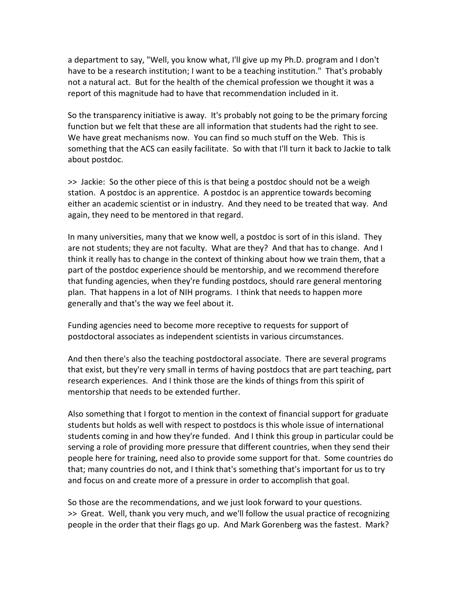a department to say, "Well, you know what, I'll give up my Ph.D. program and I don't have to be a research institution; I want to be a teaching institution." That's probably not a natural act. But for the health of the chemical profession we thought it was a report of this magnitude had to have that recommendation included in it.

So the transparency initiative is away. It's probably not going to be the primary forcing function but we felt that these are all information that students had the right to see. We have great mechanisms now. You can find so much stuff on the Web. This is something that the ACS can easily facilitate. So with that I'll turn it back to Jackie to talk about postdoc.

>> Jackie: So the other piece of this is that being a postdoc should not be a weigh station. A postdoc is an apprentice. A postdoc is an apprentice towards becoming either an academic scientist or in industry. And they need to be treated that way. And again, they need to be mentored in that regard.

In many universities, many that we know well, a postdoc is sort of in this island. They are not students; they are not faculty. What are they? And that has to change. And I think it really has to change in the context of thinking about how we train them, that a part of the postdoc experience should be mentorship, and we recommend therefore that funding agencies, when they're funding postdocs, should rare general mentoring plan. That happens in a lot of NIH programs. I think that needs to happen more generally and that's the way we feel about it.

Funding agencies need to become more receptive to requests for support of postdoctoral associates as independent scientists in various circumstances.

And then there's also the teaching postdoctoral associate. There are several programs that exist, but they're very small in terms of having postdocs that are part teaching, part research experiences. And I think those are the kinds of things from this spirit of mentorship that needs to be extended further.

Also something that I forgot to mention in the context of financial support for graduate students but holds as well with respect to postdocs is this whole issue of international students coming in and how they're funded. And I think this group in particular could be serving a role of providing more pressure that different countries, when they send their people here for training, need also to provide some support for that. Some countries do that; many countries do not, and I think that's something that's important for us to try and focus on and create more of a pressure in order to accomplish that goal.

So those are the recommendations, and we just look forward to your questions. >> Great. Well, thank you very much, and we'll follow the usual practice of recognizing people in the order that their flags go up. And Mark Gorenberg was the fastest. Mark?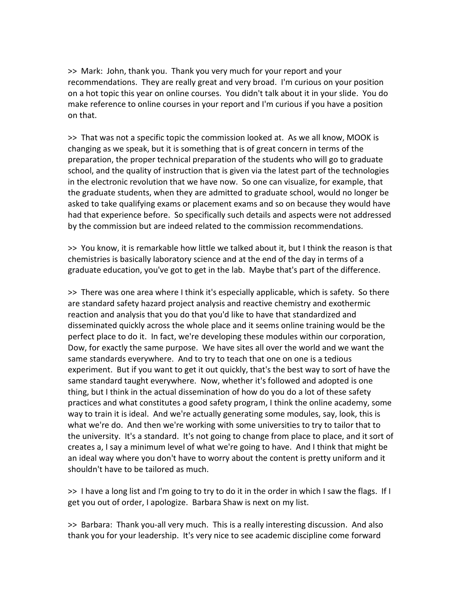>> Mark: John, thank you. Thank you very much for your report and your recommendations. They are really great and very broad. I'm curious on your position on a hot topic this year on online courses. You didn't talk about it in your slide. You do make reference to online courses in your report and I'm curious if you have a position on that.

>> That was not a specific topic the commission looked at. As we all know, MOOK is changing as we speak, but it is something that is of great concern in terms of the preparation, the proper technical preparation of the students who will go to graduate school, and the quality of instruction that is given via the latest part of the technologies in the electronic revolution that we have now. So one can visualize, for example, that the graduate students, when they are admitted to graduate school, would no longer be asked to take qualifying exams or placement exams and so on because they would have had that experience before. So specifically such details and aspects were not addressed by the commission but are indeed related to the commission recommendations.

>> You know, it is remarkable how little we talked about it, but I think the reason is that chemistries is basically laboratory science and at the end of the day in terms of a graduate education, you've got to get in the lab. Maybe that's part of the difference.

>> There was one area where I think it's especially applicable, which is safety. So there are standard safety hazard project analysis and reactive chemistry and exothermic reaction and analysis that you do that you'd like to have that standardized and disseminated quickly across the whole place and it seems online training would be the perfect place to do it. In fact, we're developing these modules within our corporation, Dow, for exactly the same purpose. We have sites all over the world and we want the same standards everywhere. And to try to teach that one on one is a tedious experiment. But if you want to get it out quickly, that's the best way to sort of have the same standard taught everywhere. Now, whether it's followed and adopted is one thing, but I think in the actual dissemination of how do you do a lot of these safety practices and what constitutes a good safety program, I think the online academy, some way to train it is ideal. And we're actually generating some modules, say, look, this is what we're do. And then we're working with some universities to try to tailor that to the university. It's a standard. It's not going to change from place to place, and it sort of creates a, I say a minimum level of what we're going to have. And I think that might be an ideal way where you don't have to worry about the content is pretty uniform and it shouldn't have to be tailored as much.

>> I have a long list and I'm going to try to do it in the order in which I saw the flags. If I get you out of order, I apologize. Barbara Shaw is next on my list.

>> Barbara: Thank you-all very much. This is a really interesting discussion. And also thank you for your leadership. It's very nice to see academic discipline come forward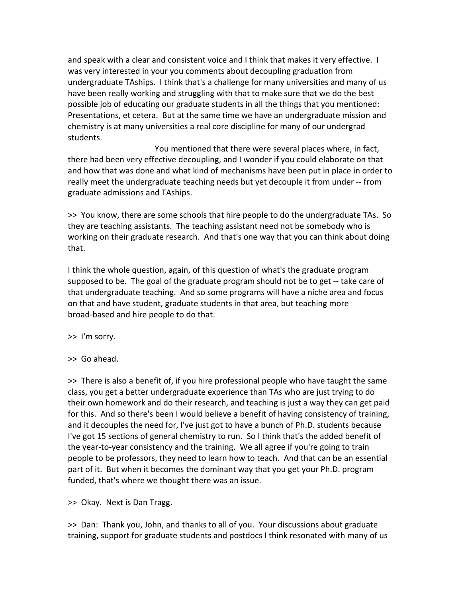and speak with a clear and consistent voice and I think that makes it very effective. I was very interested in your you comments about decoupling graduation from undergraduate TAships. I think that's a challenge for many universities and many of us have been really working and struggling with that to make sure that we do the best possible job of educating our graduate students in all the things that you mentioned: Presentations, et cetera. But at the same time we have an undergraduate mission and chemistry is at many universities a real core discipline for many of our undergrad students.

You mentioned that there were several places where, in fact, there had been very effective decoupling, and I wonder if you could elaborate on that and how that was done and what kind of mechanisms have been put in place in order to really meet the undergraduate teaching needs but yet decouple it from under -- from graduate admissions and TAships.

>> You know, there are some schools that hire people to do the undergraduate TAs. So they are teaching assistants. The teaching assistant need not be somebody who is working on their graduate research. And that's one way that you can think about doing that.

I think the whole question, again, of this question of what's the graduate program supposed to be. The goal of the graduate program should not be to get -- take care of that undergraduate teaching. And so some programs will have a niche area and focus on that and have student, graduate students in that area, but teaching more broad-based and hire people to do that.

>> I'm sorry.

>> Go ahead.

>> There is also a benefit of, if you hire professional people who have taught the same class, you get a better undergraduate experience than TAs who are just trying to do their own homework and do their research, and teaching is just a way they can get paid for this. And so there's been I would believe a benefit of having consistency of training, and it decouples the need for, I've just got to have a bunch of Ph.D. students because I've got 15 sections of general chemistry to run. So I think that's the added benefit of the year-to-year consistency and the training. We all agree if you're going to train people to be professors, they need to learn how to teach. And that can be an essential part of it. But when it becomes the dominant way that you get your Ph.D. program funded, that's where we thought there was an issue.

>> Okay. Next is Dan Tragg.

>> Dan: Thank you, John, and thanks to all of you. Your discussions about graduate training, support for graduate students and postdocs I think resonated with many of us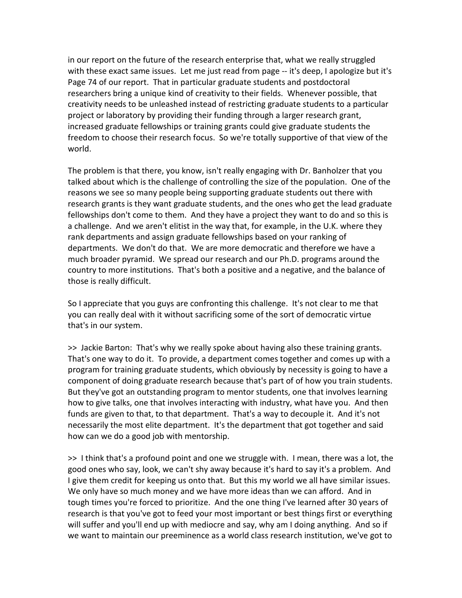in our report on the future of the research enterprise that, what we really struggled with these exact same issues. Let me just read from page -- it's deep, I apologize but it's Page 74 of our report. That in particular graduate students and postdoctoral researchers bring a unique kind of creativity to their fields. Whenever possible, that creativity needs to be unleashed instead of restricting graduate students to a particular project or laboratory by providing their funding through a larger research grant, increased graduate fellowships or training grants could give graduate students the freedom to choose their research focus. So we're totally supportive of that view of the world.

The problem is that there, you know, isn't really engaging with Dr. Banholzer that you talked about which is the challenge of controlling the size of the population. One of the reasons we see so many people being supporting graduate students out there with research grants is they want graduate students, and the ones who get the lead graduate fellowships don't come to them. And they have a project they want to do and so this is a challenge. And we aren't elitist in the way that, for example, in the U.K. where they rank departments and assign graduate fellowships based on your ranking of departments. We don't do that. We are more democratic and therefore we have a much broader pyramid. We spread our research and our Ph.D. programs around the country to more institutions. That's both a positive and a negative, and the balance of those is really difficult.

So I appreciate that you guys are confronting this challenge. It's not clear to me that you can really deal with it without sacrificing some of the sort of democratic virtue that's in our system.

>> Jackie Barton: That's why we really spoke about having also these training grants. That's one way to do it. To provide, a department comes together and comes up with a program for training graduate students, which obviously by necessity is going to have a component of doing graduate research because that's part of of how you train students. But they've got an outstanding program to mentor students, one that involves learning how to give talks, one that involves interacting with industry, what have you. And then funds are given to that, to that department. That's a way to decouple it. And it's not necessarily the most elite department. It's the department that got together and said how can we do a good job with mentorship.

>> I think that's a profound point and one we struggle with. I mean, there was a lot, the good ones who say, look, we can't shy away because it's hard to say it's a problem. And I give them credit for keeping us onto that. But this my world we all have similar issues. We only have so much money and we have more ideas than we can afford. And in tough times you're forced to prioritize. And the one thing I've learned after 30 years of research is that you've got to feed your most important or best things first or everything will suffer and you'll end up with mediocre and say, why am I doing anything. And so if we want to maintain our preeminence as a world class research institution, we've got to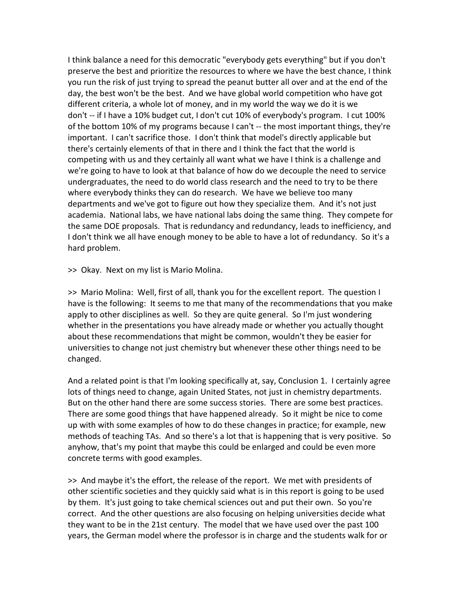I think balance a need for this democratic "everybody gets everything" but if you don't preserve the best and prioritize the resources to where we have the best chance, I think you run the risk of just trying to spread the peanut butter all over and at the end of the day, the best won't be the best. And we have global world competition who have got different criteria, a whole lot of money, and in my world the way we do it is we don't -- if I have a 10% budget cut, I don't cut 10% of everybody's program. I cut 100% of the bottom 10% of my programs because I can't -- the most important things, they're important. I can't sacrifice those. I don't think that model's directly applicable but there's certainly elements of that in there and I think the fact that the world is competing with us and they certainly all want what we have I think is a challenge and we're going to have to look at that balance of how do we decouple the need to service undergraduates, the need to do world class research and the need to try to be there where everybody thinks they can do research. We have we believe too many departments and we've got to figure out how they specialize them. And it's not just academia. National labs, we have national labs doing the same thing. They compete for the same DOE proposals. That is redundancy and redundancy, leads to inefficiency, and I don't think we all have enough money to be able to have a lot of redundancy. So it's a hard problem.

>> Okay. Next on my list is Mario Molina.

>> Mario Molina: Well, first of all, thank you for the excellent report. The question I have is the following: It seems to me that many of the recommendations that you make apply to other disciplines as well. So they are quite general. So I'm just wondering whether in the presentations you have already made or whether you actually thought about these recommendations that might be common, wouldn't they be easier for universities to change not just chemistry but whenever these other things need to be changed.

And a related point is that I'm looking specifically at, say, Conclusion 1. I certainly agree lots of things need to change, again United States, not just in chemistry departments. But on the other hand there are some success stories. There are some best practices. There are some good things that have happened already. So it might be nice to come up with with some examples of how to do these changes in practice; for example, new methods of teaching TAs. And so there's a lot that is happening that is very positive. So anyhow, that's my point that maybe this could be enlarged and could be even more concrete terms with good examples.

>> And maybe it's the effort, the release of the report. We met with presidents of other scientific societies and they quickly said what is in this report is going to be used by them. It's just going to take chemical sciences out and put their own. So you're correct. And the other questions are also focusing on helping universities decide what they want to be in the 21st century. The model that we have used over the past 100 years, the German model where the professor is in charge and the students walk for or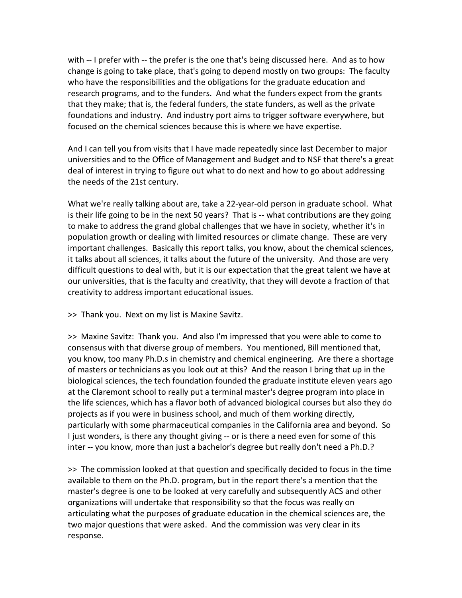with -- I prefer with -- the prefer is the one that's being discussed here. And as to how change is going to take place, that's going to depend mostly on two groups: The faculty who have the responsibilities and the obligations for the graduate education and research programs, and to the funders. And what the funders expect from the grants that they make; that is, the federal funders, the state funders, as well as the private foundations and industry. And industry port aims to trigger software everywhere, but focused on the chemical sciences because this is where we have expertise.

And I can tell you from visits that I have made repeatedly since last December to major universities and to the Office of Management and Budget and to NSF that there's a great deal of interest in trying to figure out what to do next and how to go about addressing the needs of the 21st century.

What we're really talking about are, take a 22-year-old person in graduate school. What is their life going to be in the next 50 years? That is -- what contributions are they going to make to address the grand global challenges that we have in society, whether it's in population growth or dealing with limited resources or climate change. These are very important challenges. Basically this report talks, you know, about the chemical sciences, it talks about all sciences, it talks about the future of the university. And those are very difficult questions to deal with, but it is our expectation that the great talent we have at our universities, that is the faculty and creativity, that they will devote a fraction of that creativity to address important educational issues.

>> Thank you. Next on my list is Maxine Savitz.

>> Maxine Savitz: Thank you. And also I'm impressed that you were able to come to consensus with that diverse group of members. You mentioned, Bill mentioned that, you know, too many Ph.D.s in chemistry and chemical engineering. Are there a shortage of masters or technicians as you look out at this? And the reason I bring that up in the biological sciences, the tech foundation founded the graduate institute eleven years ago at the Claremont school to really put a terminal master's degree program into place in the life sciences, which has a flavor both of advanced biological courses but also they do projects as if you were in business school, and much of them working directly, particularly with some pharmaceutical companies in the California area and beyond. So I just wonders, is there any thought giving -- or is there a need even for some of this inter -- you know, more than just a bachelor's degree but really don't need a Ph.D.?

>> The commission looked at that question and specifically decided to focus in the time available to them on the Ph.D. program, but in the report there's a mention that the master's degree is one to be looked at very carefully and subsequently ACS and other organizations will undertake that responsibility so that the focus was really on articulating what the purposes of graduate education in the chemical sciences are, the two major questions that were asked. And the commission was very clear in its response.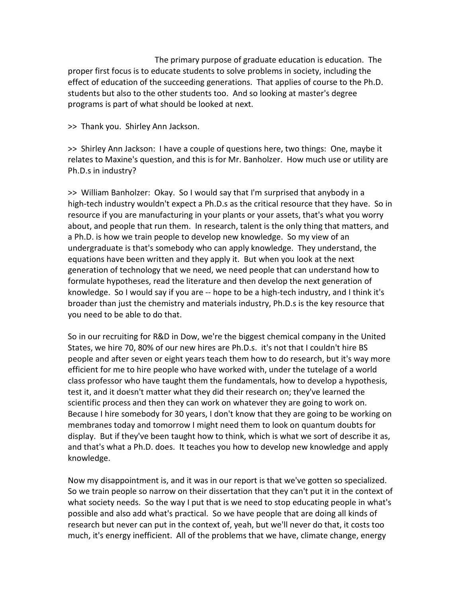The primary purpose of graduate education is education. The proper first focus is to educate students to solve problems in society, including the effect of education of the succeeding generations. That applies of course to the Ph.D. students but also to the other students too. And so looking at master's degree programs is part of what should be looked at next.

>> Thank you. Shirley Ann Jackson.

>> Shirley Ann Jackson: I have a couple of questions here, two things: One, maybe it relates to Maxine's question, and this is for Mr. Banholzer. How much use or utility are Ph.D.s in industry?

>> William Banholzer: Okay. So I would say that I'm surprised that anybody in a high-tech industry wouldn't expect a Ph.D.s as the critical resource that they have. So in resource if you are manufacturing in your plants or your assets, that's what you worry about, and people that run them. In research, talent is the only thing that matters, and a Ph.D. is how we train people to develop new knowledge. So my view of an undergraduate is that's somebody who can apply knowledge. They understand, the equations have been written and they apply it. But when you look at the next generation of technology that we need, we need people that can understand how to formulate hypotheses, read the literature and then develop the next generation of knowledge. So I would say if you are -- hope to be a high-tech industry, and I think it's broader than just the chemistry and materials industry, Ph.D.s is the key resource that you need to be able to do that.

So in our recruiting for R&D in Dow, we're the biggest chemical company in the United States, we hire 70, 80% of our new hires are Ph.D.s. it's not that I couldn't hire BS people and after seven or eight years teach them how to do research, but it's way more efficient for me to hire people who have worked with, under the tutelage of a world class professor who have taught them the fundamentals, how to develop a hypothesis, test it, and it doesn't matter what they did their research on; they've learned the scientific process and then they can work on whatever they are going to work on. Because I hire somebody for 30 years, I don't know that they are going to be working on membranes today and tomorrow I might need them to look on quantum doubts for display. But if they've been taught how to think, which is what we sort of describe it as, and that's what a Ph.D. does. It teaches you how to develop new knowledge and apply knowledge.

Now my disappointment is, and it was in our report is that we've gotten so specialized. So we train people so narrow on their dissertation that they can't put it in the context of what society needs. So the way I put that is we need to stop educating people in what's possible and also add what's practical. So we have people that are doing all kinds of research but never can put in the context of, yeah, but we'll never do that, it costs too much, it's energy inefficient. All of the problems that we have, climate change, energy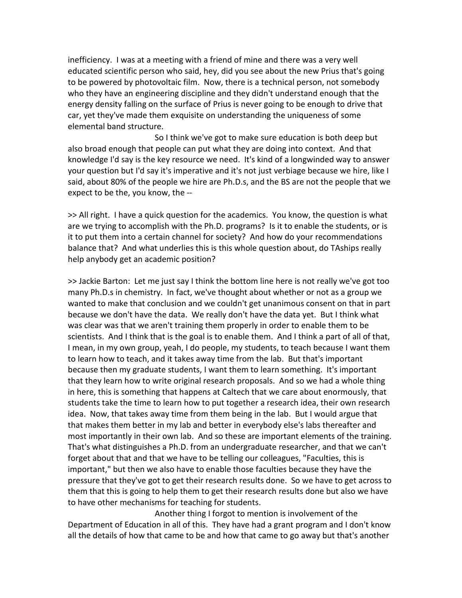inefficiency. I was at a meeting with a friend of mine and there was a very well educated scientific person who said, hey, did you see about the new Prius that's going to be powered by photovoltaic film. Now, there is a technical person, not somebody who they have an engineering discipline and they didn't understand enough that the energy density falling on the surface of Prius is never going to be enough to drive that car, yet they've made them exquisite on understanding the uniqueness of some elemental band structure.

So I think we've got to make sure education is both deep but also broad enough that people can put what they are doing into context. And that knowledge I'd say is the key resource we need. It's kind of a longwinded way to answer your question but I'd say it's imperative and it's not just verbiage because we hire, like I said, about 80% of the people we hire are Ph.D.s, and the BS are not the people that we expect to be the, you know, the --

>> All right. I have a quick question for the academics. You know, the question is what are we trying to accomplish with the Ph.D. programs? Is it to enable the students, or is it to put them into a certain channel for society? And how do your recommendations balance that? And what underlies this is this whole question about, do TAships really help anybody get an academic position?

>> Jackie Barton: Let me just say I think the bottom line here is not really we've got too many Ph.D.s in chemistry. In fact, we've thought about whether or not as a group we wanted to make that conclusion and we couldn't get unanimous consent on that in part because we don't have the data. We really don't have the data yet. But I think what was clear was that we aren't training them properly in order to enable them to be scientists. And I think that is the goal is to enable them. And I think a part of all of that, I mean, in my own group, yeah, I do people, my students, to teach because I want them to learn how to teach, and it takes away time from the lab. But that's important because then my graduate students, I want them to learn something. It's important that they learn how to write original research proposals. And so we had a whole thing in here, this is something that happens at Caltech that we care about enormously, that students take the time to learn how to put together a research idea, their own research idea. Now, that takes away time from them being in the lab. But I would argue that that makes them better in my lab and better in everybody else's labs thereafter and most importantly in their own lab. And so these are important elements of the training. That's what distinguishes a Ph.D. from an undergraduate researcher, and that we can't forget about that and that we have to be telling our colleagues, "Faculties, this is important," but then we also have to enable those faculties because they have the pressure that they've got to get their research results done. So we have to get across to them that this is going to help them to get their research results done but also we have to have other mechanisms for teaching for students.

Another thing I forgot to mention is involvement of the Department of Education in all of this. They have had a grant program and I don't know all the details of how that came to be and how that came to go away but that's another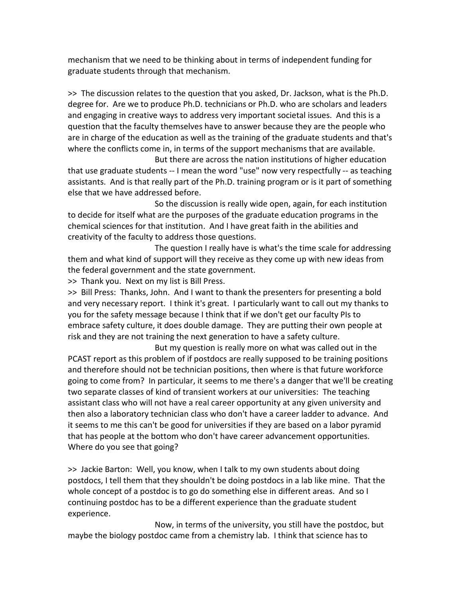mechanism that we need to be thinking about in terms of independent funding for graduate students through that mechanism.

>> The discussion relates to the question that you asked, Dr. Jackson, what is the Ph.D. degree for. Are we to produce Ph.D. technicians or Ph.D. who are scholars and leaders and engaging in creative ways to address very important societal issues. And this is a question that the faculty themselves have to answer because they are the people who are in charge of the education as well as the training of the graduate students and that's where the conflicts come in, in terms of the support mechanisms that are available.

But there are across the nation institutions of higher education that use graduate students -- I mean the word "use" now very respectfully -- as teaching assistants. And is that really part of the Ph.D. training program or is it part of something else that we have addressed before.

So the discussion is really wide open, again, for each institution to decide for itself what are the purposes of the graduate education programs in the chemical sciences for that institution. And I have great faith in the abilities and creativity of the faculty to address those questions.

The question I really have is what's the time scale for addressing them and what kind of support will they receive as they come up with new ideas from the federal government and the state government.

>> Thank you. Next on my list is Bill Press.

>> Bill Press: Thanks, John. And I want to thank the presenters for presenting a bold and very necessary report. I think it's great. I particularly want to call out my thanks to you for the safety message because I think that if we don't get our faculty PIs to embrace safety culture, it does double damage. They are putting their own people at risk and they are not training the next generation to have a safety culture.

But my question is really more on what was called out in the PCAST report as this problem of if postdocs are really supposed to be training positions and therefore should not be technician positions, then where is that future workforce going to come from? In particular, it seems to me there's a danger that we'll be creating two separate classes of kind of transient workers at our universities: The teaching assistant class who will not have a real career opportunity at any given university and then also a laboratory technician class who don't have a career ladder to advance. And it seems to me this can't be good for universities if they are based on a labor pyramid that has people at the bottom who don't have career advancement opportunities. Where do you see that going?

>> Jackie Barton: Well, you know, when I talk to my own students about doing postdocs, I tell them that they shouldn't be doing postdocs in a lab like mine. That the whole concept of a postdoc is to go do something else in different areas. And so I continuing postdoc has to be a different experience than the graduate student experience.

Now, in terms of the university, you still have the postdoc, but maybe the biology postdoc came from a chemistry lab. I think that science has to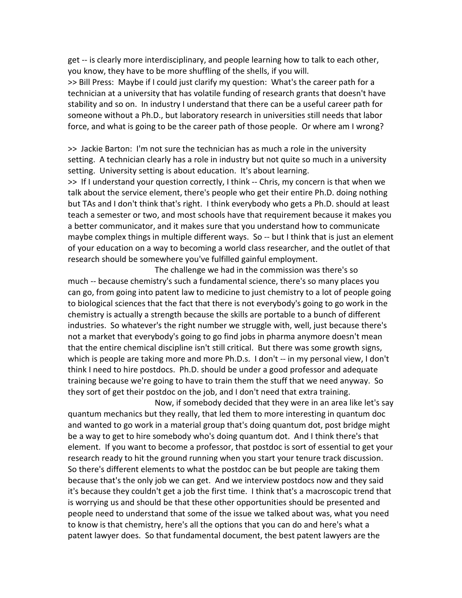get -- is clearly more interdisciplinary, and people learning how to talk to each other, you know, they have to be more shuffling of the shells, if you will.

>> Bill Press: Maybe if I could just clarify my question: What's the career path for a technician at a university that has volatile funding of research grants that doesn't have stability and so on. In industry I understand that there can be a useful career path for someone without a Ph.D., but laboratory research in universities still needs that labor force, and what is going to be the career path of those people. Or where am I wrong?

>> Jackie Barton: I'm not sure the technician has as much a role in the university setting. A technician clearly has a role in industry but not quite so much in a university setting. University setting is about education. It's about learning.

>> If I understand your question correctly, I think -- Chris, my concern is that when we talk about the service element, there's people who get their entire Ph.D. doing nothing but TAs and I don't think that's right. I think everybody who gets a Ph.D. should at least teach a semester or two, and most schools have that requirement because it makes you a better communicator, and it makes sure that you understand how to communicate maybe complex things in multiple different ways. So -- but I think that is just an element of your education on a way to becoming a world class researcher, and the outlet of that research should be somewhere you've fulfilled gainful employment.

The challenge we had in the commission was there's so much -- because chemistry's such a fundamental science, there's so many places you can go, from going into patent law to medicine to just chemistry to a lot of people going to biological sciences that the fact that there is not everybody's going to go work in the chemistry is actually a strength because the skills are portable to a bunch of different industries. So whatever's the right number we struggle with, well, just because there's not a market that everybody's going to go find jobs in pharma anymore doesn't mean that the entire chemical discipline isn't still critical. But there was some growth signs, which is people are taking more and more Ph.D.s. I don't -- in my personal view, I don't think I need to hire postdocs. Ph.D. should be under a good professor and adequate training because we're going to have to train them the stuff that we need anyway. So they sort of get their postdoc on the job, and I don't need that extra training.

Now, if somebody decided that they were in an area like let's say quantum mechanics but they really, that led them to more interesting in quantum doc and wanted to go work in a material group that's doing quantum dot, post bridge might be a way to get to hire somebody who's doing quantum dot. And I think there's that element. If you want to become a professor, that postdoc is sort of essential to get your research ready to hit the ground running when you start your tenure track discussion. So there's different elements to what the postdoc can be but people are taking them because that's the only job we can get. And we interview postdocs now and they said it's because they couldn't get a job the first time. I think that's a macroscopic trend that is worrying us and should be that these other opportunities should be presented and people need to understand that some of the issue we talked about was, what you need to know is that chemistry, here's all the options that you can do and here's what a patent lawyer does. So that fundamental document, the best patent lawyers are the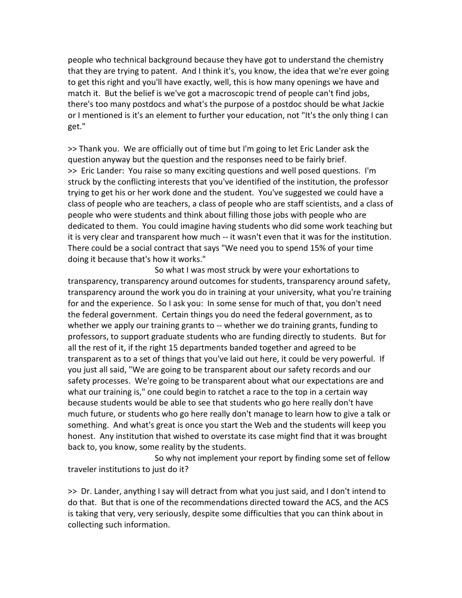people who technical background because they have got to understand the chemistry that they are trying to patent. And I think it's, you know, the idea that we're ever going to get this right and you'll have exactly, well, this is how many openings we have and match it. But the belief is we've got a macroscopic trend of people can't find jobs, there's too many postdocs and what's the purpose of a postdoc should be what Jackie or I mentioned is it's an element to further your education, not "It's the only thing I can get."

>> Thank you. We are officially out of time but I'm going to let Eric Lander ask the question anyway but the question and the responses need to be fairly brief. >> Eric Lander: You raise so many exciting questions and well posed questions. I'm struck by the conflicting interests that you've identified of the institution, the professor trying to get his or her work done and the student. You've suggested we could have a class of people who are teachers, a class of people who are staff scientists, and a class of people who were students and think about filling those jobs with people who are dedicated to them. You could imagine having students who did some work teaching but it is very clear and transparent how much -- it wasn't even that it was for the institution. There could be a social contract that says "We need you to spend 15% of your time doing it because that's how it works."

So what I was most struck by were your exhortations to transparency, transparency around outcomes for students, transparency around safety, transparency around the work you do in training at your university, what you're training for and the experience. So I ask you: In some sense for much of that, you don't need the federal government. Certain things you do need the federal government, as to whether we apply our training grants to -- whether we do training grants, funding to professors, to support graduate students who are funding directly to students. But for all the rest of it, if the right 15 departments banded together and agreed to be transparent as to a set of things that you've laid out here, it could be very powerful. If you just all said, "We are going to be transparent about our safety records and our safety processes. We're going to be transparent about what our expectations are and what our training is," one could begin to ratchet a race to the top in a certain way because students would be able to see that students who go here really don't have much future, or students who go here really don't manage to learn how to give a talk or something. And what's great is once you start the Web and the students will keep you honest. Any institution that wished to overstate its case might find that it was brought back to, you know, some reality by the students.

So why not implement your report by finding some set of fellow traveler institutions to just do it?

>> Dr. Lander, anything I say will detract from what you just said, and I don't intend to do that. But that is one of the recommendations directed toward the ACS, and the ACS is taking that very, very seriously, despite some difficulties that you can think about in collecting such information.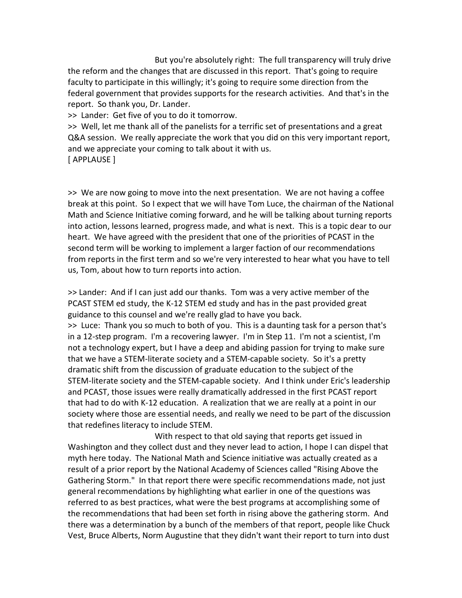But you're absolutely right: The full transparency will truly drive the reform and the changes that are discussed in this report. That's going to require faculty to participate in this willingly; it's going to require some direction from the federal government that provides supports for the research activities. And that's in the report. So thank you, Dr. Lander.

>> Lander: Get five of you to do it tomorrow.

>> Well, let me thank all of the panelists for a terrific set of presentations and a great Q&A session. We really appreciate the work that you did on this very important report, and we appreciate your coming to talk about it with us. [ APPLAUSE ]

>> We are now going to move into the next presentation. We are not having a coffee break at this point. So I expect that we will have Tom Luce, the chairman of the National Math and Science Initiative coming forward, and he will be talking about turning reports into action, lessons learned, progress made, and what is next. This is a topic dear to our heart. We have agreed with the president that one of the priorities of PCAST in the second term will be working to implement a larger faction of our recommendations from reports in the first term and so we're very interested to hear what you have to tell us, Tom, about how to turn reports into action.

>> Lander: And if I can just add our thanks. Tom was a very active member of the PCAST STEM ed study, the K-12 STEM ed study and has in the past provided great guidance to this counsel and we're really glad to have you back.

>> Luce: Thank you so much to both of you. This is a daunting task for a person that's in a 12-step program. I'm a recovering lawyer. I'm in Step 11. I'm not a scientist, I'm not a technology expert, but I have a deep and abiding passion for trying to make sure that we have a STEM-literate society and a STEM-capable society. So it's a pretty dramatic shift from the discussion of graduate education to the subject of the STEM-literate society and the STEM-capable society. And I think under Eric's leadership and PCAST, those issues were really dramatically addressed in the first PCAST report that had to do with K-12 education. A realization that we are really at a point in our society where those are essential needs, and really we need to be part of the discussion that redefines literacy to include STEM.

With respect to that old saying that reports get issued in Washington and they collect dust and they never lead to action, I hope I can dispel that myth here today. The National Math and Science initiative was actually created as a result of a prior report by the National Academy of Sciences called "Rising Above the Gathering Storm." In that report there were specific recommendations made, not just general recommendations by highlighting what earlier in one of the questions was referred to as best practices, what were the best programs at accomplishing some of the recommendations that had been set forth in rising above the gathering storm. And there was a determination by a bunch of the members of that report, people like Chuck Vest, Bruce Alberts, Norm Augustine that they didn't want their report to turn into dust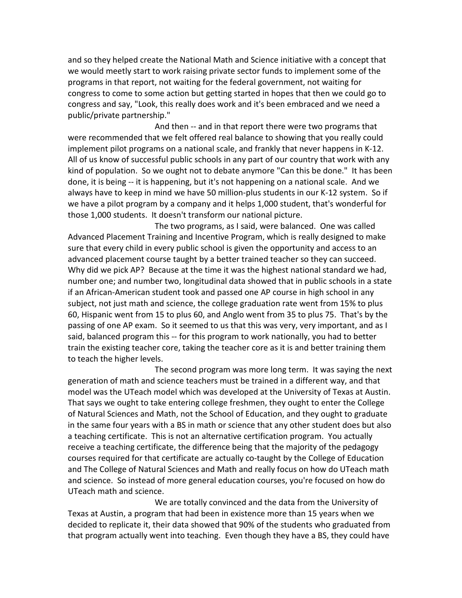and so they helped create the National Math and Science initiative with a concept that we would meetly start to work raising private sector funds to implement some of the programs in that report, not waiting for the federal government, not waiting for congress to come to some action but getting started in hopes that then we could go to congress and say, "Look, this really does work and it's been embraced and we need a public/private partnership."

And then -- and in that report there were two programs that were recommended that we felt offered real balance to showing that you really could implement pilot programs on a national scale, and frankly that never happens in K-12. All of us know of successful public schools in any part of our country that work with any kind of population. So we ought not to debate anymore "Can this be done." It has been done, it is being -- it is happening, but it's not happening on a national scale. And we always have to keep in mind we have 50 million-plus students in our K-12 system. So if we have a pilot program by a company and it helps 1,000 student, that's wonderful for those 1,000 students. It doesn't transform our national picture.

The two programs, as I said, were balanced. One was called Advanced Placement Training and Incentive Program, which is really designed to make sure that every child in every public school is given the opportunity and access to an advanced placement course taught by a better trained teacher so they can succeed. Why did we pick AP? Because at the time it was the highest national standard we had, number one; and number two, longitudinal data showed that in public schools in a state if an African-American student took and passed one AP course in high school in any subject, not just math and science, the college graduation rate went from 15% to plus 60, Hispanic went from 15 to plus 60, and Anglo went from 35 to plus 75. That's by the passing of one AP exam. So it seemed to us that this was very, very important, and as I said, balanced program this -- for this program to work nationally, you had to better train the existing teacher core, taking the teacher core as it is and better training them to teach the higher levels.

The second program was more long term. It was saying the next generation of math and science teachers must be trained in a different way, and that model was the UTeach model which was developed at the University of Texas at Austin. That says we ought to take entering college freshmen, they ought to enter the College of Natural Sciences and Math, not the School of Education, and they ought to graduate in the same four years with a BS in math or science that any other student does but also a teaching certificate. This is not an alternative certification program. You actually receive a teaching certificate, the difference being that the majority of the pedagogy courses required for that certificate are actually co-taught by the College of Education and The College of Natural Sciences and Math and really focus on how do UTeach math and science. So instead of more general education courses, you're focused on how do UTeach math and science.

We are totally convinced and the data from the University of Texas at Austin, a program that had been in existence more than 15 years when we decided to replicate it, their data showed that 90% of the students who graduated from that program actually went into teaching. Even though they have a BS, they could have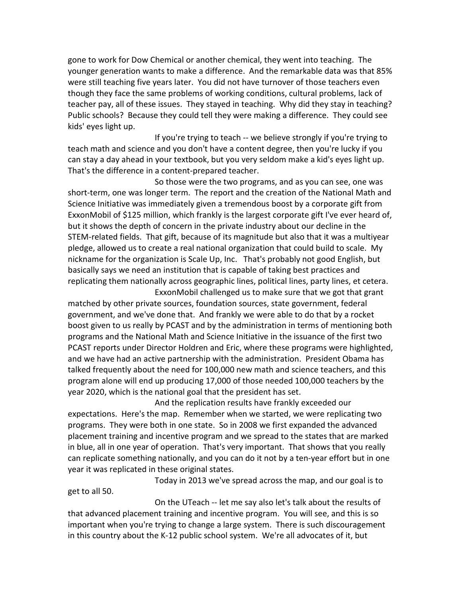gone to work for Dow Chemical or another chemical, they went into teaching. The younger generation wants to make a difference. And the remarkable data was that 85% were still teaching five years later. You did not have turnover of those teachers even though they face the same problems of working conditions, cultural problems, lack of teacher pay, all of these issues. They stayed in teaching. Why did they stay in teaching? Public schools? Because they could tell they were making a difference. They could see kids' eyes light up.

If you're trying to teach -- we believe strongly if you're trying to teach math and science and you don't have a content degree, then you're lucky if you can stay a day ahead in your textbook, but you very seldom make a kid's eyes light up. That's the difference in a content-prepared teacher.

So those were the two programs, and as you can see, one was short-term, one was longer term. The report and the creation of the National Math and Science Initiative was immediately given a tremendous boost by a corporate gift from ExxonMobil of \$125 million, which frankly is the largest corporate gift I've ever heard of, but it shows the depth of concern in the private industry about our decline in the STEM-related fields. That gift, because of its magnitude but also that it was a multiyear pledge, allowed us to create a real national organization that could build to scale. My nickname for the organization is Scale Up, Inc. That's probably not good English, but basically says we need an institution that is capable of taking best practices and replicating them nationally across geographic lines, political lines, party lines, et cetera.

ExxonMobil challenged us to make sure that we got that grant matched by other private sources, foundation sources, state government, federal government, and we've done that. And frankly we were able to do that by a rocket boost given to us really by PCAST and by the administration in terms of mentioning both programs and the National Math and Science Initiative in the issuance of the first two PCAST reports under Director Holdren and Eric, where these programs were highlighted, and we have had an active partnership with the administration. President Obama has talked frequently about the need for 100,000 new math and science teachers, and this program alone will end up producing 17,000 of those needed 100,000 teachers by the year 2020, which is the national goal that the president has set.

And the replication results have frankly exceeded our expectations. Here's the map. Remember when we started, we were replicating two programs. They were both in one state. So in 2008 we first expanded the advanced placement training and incentive program and we spread to the states that are marked in blue, all in one year of operation. That's very important. That shows that you really can replicate something nationally, and you can do it not by a ten-year effort but in one year it was replicated in these original states.

Today in 2013 we've spread across the map, and our goal is to

On the UTeach -- let me say also let's talk about the results of that advanced placement training and incentive program. You will see, and this is so important when you're trying to change a large system. There is such discouragement in this country about the K-12 public school system. We're all advocates of it, but

get to all 50.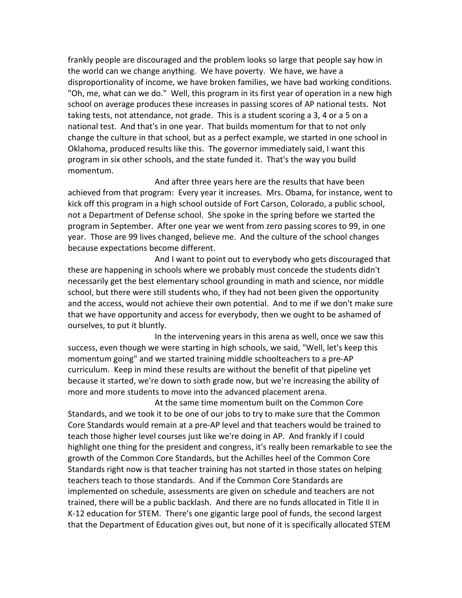frankly people are discouraged and the problem looks so large that people say how in the world can we change anything. We have poverty. We have, we have a disproportionality of income, we have broken families, we have bad working conditions. "Oh, me, what can we do." Well, this program in its first year of operation in a new high school on average produces these increases in passing scores of AP national tests. Not taking tests, not attendance, not grade. This is a student scoring a 3, 4 or a 5 on a national test. And that's in one year. That builds momentum for that to not only change the culture in that school, but as a perfect example, we started in one school in Oklahoma, produced results like this. The governor immediately said, I want this program in six other schools, and the state funded it. That's the way you build momentum.

And after three years here are the results that have been achieved from that program: Every year it increases. Mrs. Obama, for instance, went to kick off this program in a high school outside of Fort Carson, Colorado, a public school, not a Department of Defense school. She spoke in the spring before we started the program in September. After one year we went from zero passing scores to 99, in one year. Those are 99 lives changed, believe me. And the culture of the school changes because expectations become different.

And I want to point out to everybody who gets discouraged that these are happening in schools where we probably must concede the students didn't necessarily get the best elementary school grounding in math and science, nor middle school, but there were still students who, if they had not been given the opportunity and the access, would not achieve their own potential. And to me if we don't make sure that we have opportunity and access for everybody, then we ought to be ashamed of ourselves, to put it bluntly.

In the intervening years in this arena as well, once we saw this success, even though we were starting in high schools, we said, "Well, let's keep this momentum going" and we started training middle schoolteachers to a pre-AP curriculum. Keep in mind these results are without the benefit of that pipeline yet because it started, we're down to sixth grade now, but we're increasing the ability of more and more students to move into the advanced placement arena.

At the same time momentum built on the Common Core Standards, and we took it to be one of our jobs to try to make sure that the Common Core Standards would remain at a pre-AP level and that teachers would be trained to teach those higher level courses just like we're doing in AP. And frankly if I could highlight one thing for the president and congress, it's really been remarkable to see the growth of the Common Core Standards, but the Achilles heel of the Common Core Standards right now is that teacher training has not started in those states on helping teachers teach to those standards. And if the Common Core Standards are implemented on schedule, assessments are given on schedule and teachers are not trained, there will be a public backlash. And there are no funds allocated in Title II in K-12 education for STEM. There's one gigantic large pool of funds, the second largest that the Department of Education gives out, but none of it is specifically allocated STEM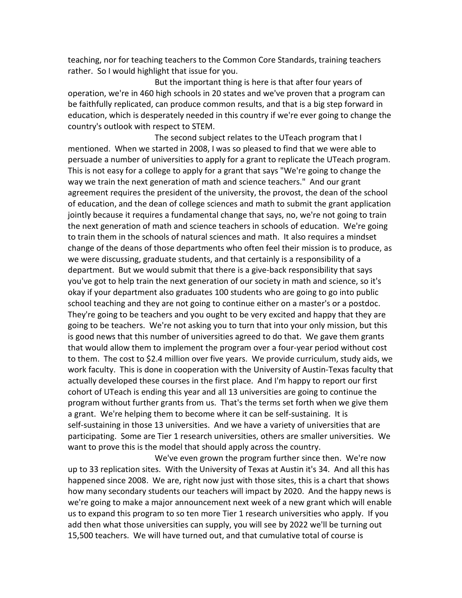teaching, nor for teaching teachers to the Common Core Standards, training teachers rather. So I would highlight that issue for you.

But the important thing is here is that after four years of operation, we're in 460 high schools in 20 states and we've proven that a program can be faithfully replicated, can produce common results, and that is a big step forward in education, which is desperately needed in this country if we're ever going to change the country's outlook with respect to STEM.

The second subject relates to the UTeach program that I mentioned. When we started in 2008, I was so pleased to find that we were able to persuade a number of universities to apply for a grant to replicate the UTeach program. This is not easy for a college to apply for a grant that says "We're going to change the way we train the next generation of math and science teachers." And our grant agreement requires the president of the university, the provost, the dean of the school of education, and the dean of college sciences and math to submit the grant application jointly because it requires a fundamental change that says, no, we're not going to train the next generation of math and science teachers in schools of education. We're going to train them in the schools of natural sciences and math. It also requires a mindset change of the deans of those departments who often feel their mission is to produce, as we were discussing, graduate students, and that certainly is a responsibility of a department. But we would submit that there is a give-back responsibility that says you've got to help train the next generation of our society in math and science, so it's okay if your department also graduates 100 students who are going to go into public school teaching and they are not going to continue either on a master's or a postdoc. They're going to be teachers and you ought to be very excited and happy that they are going to be teachers. We're not asking you to turn that into your only mission, but this is good news that this number of universities agreed to do that. We gave them grants that would allow them to implement the program over a four-year period without cost to them. The cost to \$2.4 million over five years. We provide curriculum, study aids, we work faculty. This is done in cooperation with the University of Austin-Texas faculty that actually developed these courses in the first place. And I'm happy to report our first cohort of UTeach is ending this year and all 13 universities are going to continue the program without further grants from us. That's the terms set forth when we give them a grant. We're helping them to become where it can be self-sustaining. It is self-sustaining in those 13 universities. And we have a variety of universities that are participating. Some are Tier 1 research universities, others are smaller universities. We want to prove this is the model that should apply across the country.

We've even grown the program further since then. We're now up to 33 replication sites. With the University of Texas at Austin it's 34. And all this has happened since 2008. We are, right now just with those sites, this is a chart that shows how many secondary students our teachers will impact by 2020. And the happy news is we're going to make a major announcement next week of a new grant which will enable us to expand this program to so ten more Tier 1 research universities who apply. If you add then what those universities can supply, you will see by 2022 we'll be turning out 15,500 teachers. We will have turned out, and that cumulative total of course is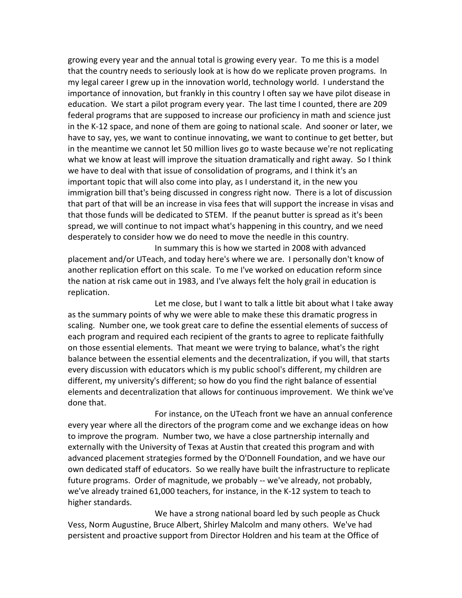growing every year and the annual total is growing every year. To me this is a model that the country needs to seriously look at is how do we replicate proven programs. In my legal career I grew up in the innovation world, technology world. I understand the importance of innovation, but frankly in this country I often say we have pilot disease in education. We start a pilot program every year. The last time I counted, there are 209 federal programs that are supposed to increase our proficiency in math and science just in the K-12 space, and none of them are going to national scale. And sooner or later, we have to say, yes, we want to continue innovating, we want to continue to get better, but in the meantime we cannot let 50 million lives go to waste because we're not replicating what we know at least will improve the situation dramatically and right away. So I think we have to deal with that issue of consolidation of programs, and I think it's an important topic that will also come into play, as I understand it, in the new you immigration bill that's being discussed in congress right now. There is a lot of discussion that part of that will be an increase in visa fees that will support the increase in visas and that those funds will be dedicated to STEM. If the peanut butter is spread as it's been spread, we will continue to not impact what's happening in this country, and we need desperately to consider how we do need to move the needle in this country.

In summary this is how we started in 2008 with advanced placement and/or UTeach, and today here's where we are. I personally don't know of another replication effort on this scale. To me I've worked on education reform since the nation at risk came out in 1983, and I've always felt the holy grail in education is replication.

Let me close, but I want to talk a little bit about what I take away as the summary points of why we were able to make these this dramatic progress in scaling. Number one, we took great care to define the essential elements of success of each program and required each recipient of the grants to agree to replicate faithfully on those essential elements. That meant we were trying to balance, what's the right balance between the essential elements and the decentralization, if you will, that starts every discussion with educators which is my public school's different, my children are different, my university's different; so how do you find the right balance of essential elements and decentralization that allows for continuous improvement. We think we've done that.

For instance, on the UTeach front we have an annual conference every year where all the directors of the program come and we exchange ideas on how to improve the program. Number two, we have a close partnership internally and externally with the University of Texas at Austin that created this program and with advanced placement strategies formed by the O'Donnell Foundation, and we have our own dedicated staff of educators. So we really have built the infrastructure to replicate future programs. Order of magnitude, we probably -- we've already, not probably, we've already trained 61,000 teachers, for instance, in the K-12 system to teach to higher standards.

We have a strong national board led by such people as Chuck Vess, Norm Augustine, Bruce Albert, Shirley Malcolm and many others. We've had persistent and proactive support from Director Holdren and his team at the Office of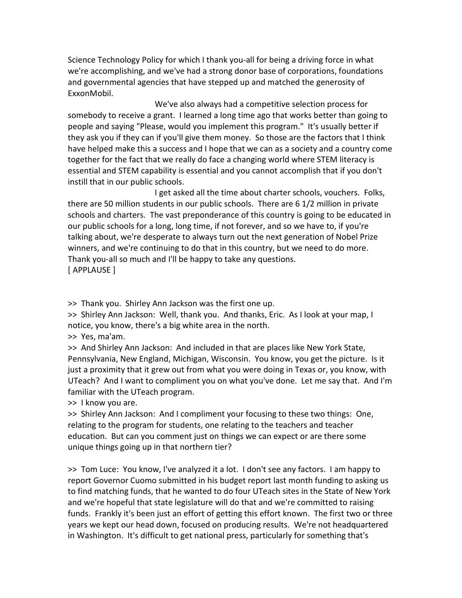Science Technology Policy for which I thank you-all for being a driving force in what we're accomplishing, and we've had a strong donor base of corporations, foundations and governmental agencies that have stepped up and matched the generosity of ExxonMobil.

We've also always had a competitive selection process for somebody to receive a grant. I learned a long time ago that works better than going to people and saying "Please, would you implement this program." It's usually better if they ask you if they can if you'll give them money. So those are the factors that I think have helped make this a success and I hope that we can as a society and a country come together for the fact that we really do face a changing world where STEM literacy is essential and STEM capability is essential and you cannot accomplish that if you don't instill that in our public schools.

I get asked all the time about charter schools, vouchers. Folks, there are 50 million students in our public schools. There are 6 1/2 million in private schools and charters. The vast preponderance of this country is going to be educated in our public schools for a long, long time, if not forever, and so we have to, if you're talking about, we're desperate to always turn out the next generation of Nobel Prize winners, and we're continuing to do that in this country, but we need to do more. Thank you-all so much and I'll be happy to take any questions. [ APPLAUSE ]

>> Thank you. Shirley Ann Jackson was the first one up.

>> Shirley Ann Jackson: Well, thank you. And thanks, Eric. As I look at your map, I notice, you know, there's a big white area in the north.

>> Yes, ma'am.

>> And Shirley Ann Jackson: And included in that are places like New York State, Pennsylvania, New England, Michigan, Wisconsin. You know, you get the picture. Is it just a proximity that it grew out from what you were doing in Texas or, you know, with UTeach? And I want to compliment you on what you've done. Let me say that. And I'm familiar with the UTeach program.

>> I know you are.

>> Shirley Ann Jackson: And I compliment your focusing to these two things: One, relating to the program for students, one relating to the teachers and teacher education. But can you comment just on things we can expect or are there some unique things going up in that northern tier?

>> Tom Luce: You know, I've analyzed it a lot. I don't see any factors. I am happy to report Governor Cuomo submitted in his budget report last month funding to asking us to find matching funds, that he wanted to do four UTeach sites in the State of New York and we're hopeful that state legislature will do that and we're committed to raising funds. Frankly it's been just an effort of getting this effort known. The first two or three years we kept our head down, focused on producing results. We're not headquartered in Washington. It's difficult to get national press, particularly for something that's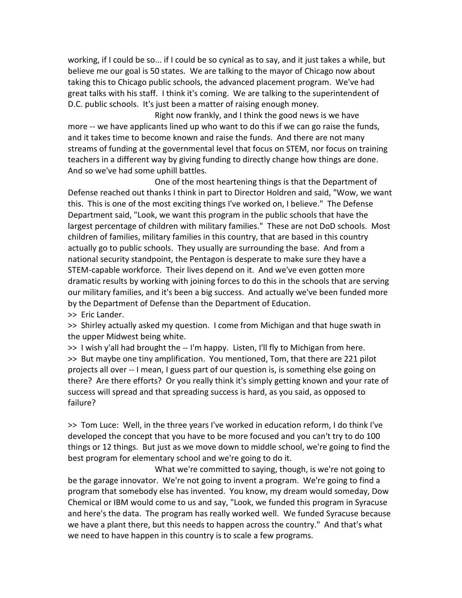working, if I could be so... if I could be so cynical as to say, and it just takes a while, but believe me our goal is 50 states. We are talking to the mayor of Chicago now about taking this to Chicago public schools, the advanced placement program. We've had great talks with his staff. I think it's coming. We are talking to the superintendent of D.C. public schools. It's just been a matter of raising enough money.

Right now frankly, and I think the good news is we have more -- we have applicants lined up who want to do this if we can go raise the funds, and it takes time to become known and raise the funds. And there are not many streams of funding at the governmental level that focus on STEM, nor focus on training teachers in a different way by giving funding to directly change how things are done. And so we've had some uphill battles.

One of the most heartening things is that the Department of Defense reached out thanks I think in part to Director Holdren and said, "Wow, we want this. This is one of the most exciting things I've worked on, I believe." The Defense Department said, "Look, we want this program in the public schools that have the largest percentage of children with military families." These are not DoD schools. Most children of families, military families in this country, that are based in this country actually go to public schools. They usually are surrounding the base. And from a national security standpoint, the Pentagon is desperate to make sure they have a STEM-capable workforce. Their lives depend on it. And we've even gotten more dramatic results by working with joining forces to do this in the schools that are serving our military families, and it's been a big success. And actually we've been funded more by the Department of Defense than the Department of Education. >> Eric Lander.

>> Shirley actually asked my question. I come from Michigan and that huge swath in the upper Midwest being white.

>> I wish y'all had brought the -- I'm happy. Listen, I'll fly to Michigan from here. >> But maybe one tiny amplification. You mentioned, Tom, that there are 221 pilot projects all over -- I mean, I guess part of our question is, is something else going on there? Are there efforts? Or you really think it's simply getting known and your rate of success will spread and that spreading success is hard, as you said, as opposed to failure?

>> Tom Luce: Well, in the three years I've worked in education reform, I do think I've developed the concept that you have to be more focused and you can't try to do 100 things or 12 things. But just as we move down to middle school, we're going to find the best program for elementary school and we're going to do it.

What we're committed to saying, though, is we're not going to be the garage innovator. We're not going to invent a program. We're going to find a program that somebody else has invented. You know, my dream would someday, Dow Chemical or IBM would come to us and say, "Look, we funded this program in Syracuse and here's the data. The program has really worked well. We funded Syracuse because we have a plant there, but this needs to happen across the country." And that's what we need to have happen in this country is to scale a few programs.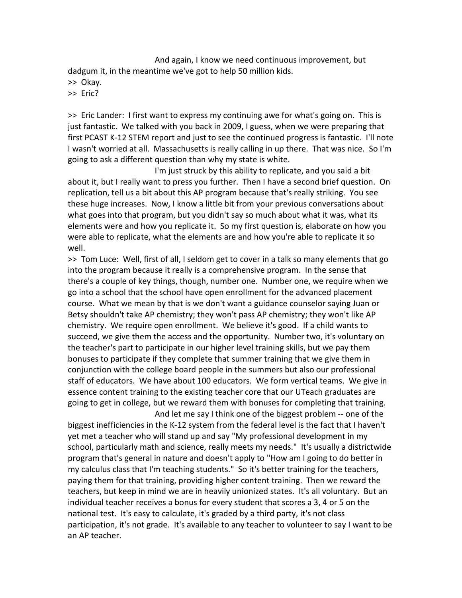And again, I know we need continuous improvement, but dadgum it, in the meantime we've got to help 50 million kids.

>> Okay.

>> Eric?

>> Eric Lander: I first want to express my continuing awe for what's going on. This is just fantastic. We talked with you back in 2009, I guess, when we were preparing that first PCAST K-12 STEM report and just to see the continued progress is fantastic. I'll note I wasn't worried at all. Massachusetts is really calling in up there. That was nice. So I'm going to ask a different question than why my state is white.

I'm just struck by this ability to replicate, and you said a bit about it, but I really want to press you further. Then I have a second brief question. On replication, tell us a bit about this AP program because that's really striking. You see these huge increases. Now, I know a little bit from your previous conversations about what goes into that program, but you didn't say so much about what it was, what its elements were and how you replicate it. So my first question is, elaborate on how you were able to replicate, what the elements are and how you're able to replicate it so well.

>> Tom Luce: Well, first of all, I seldom get to cover in a talk so many elements that go into the program because it really is a comprehensive program. In the sense that there's a couple of key things, though, number one. Number one, we require when we go into a school that the school have open enrollment for the advanced placement course. What we mean by that is we don't want a guidance counselor saying Juan or Betsy shouldn't take AP chemistry; they won't pass AP chemistry; they won't like AP chemistry. We require open enrollment. We believe it's good. If a child wants to succeed, we give them the access and the opportunity. Number two, it's voluntary on the teacher's part to participate in our higher level training skills, but we pay them bonuses to participate if they complete that summer training that we give them in conjunction with the college board people in the summers but also our professional staff of educators. We have about 100 educators. We form vertical teams. We give in essence content training to the existing teacher core that our UTeach graduates are going to get in college, but we reward them with bonuses for completing that training.

And let me say I think one of the biggest problem -- one of the biggest inefficiencies in the K-12 system from the federal level is the fact that I haven't yet met a teacher who will stand up and say "My professional development in my school, particularly math and science, really meets my needs." It's usually a districtwide program that's general in nature and doesn't apply to "How am I going to do better in my calculus class that I'm teaching students." So it's better training for the teachers, paying them for that training, providing higher content training. Then we reward the teachers, but keep in mind we are in heavily unionized states. It's all voluntary. But an individual teacher receives a bonus for every student that scores a 3, 4 or 5 on the national test. It's easy to calculate, it's graded by a third party, it's not class participation, it's not grade. It's available to any teacher to volunteer to say I want to be an AP teacher.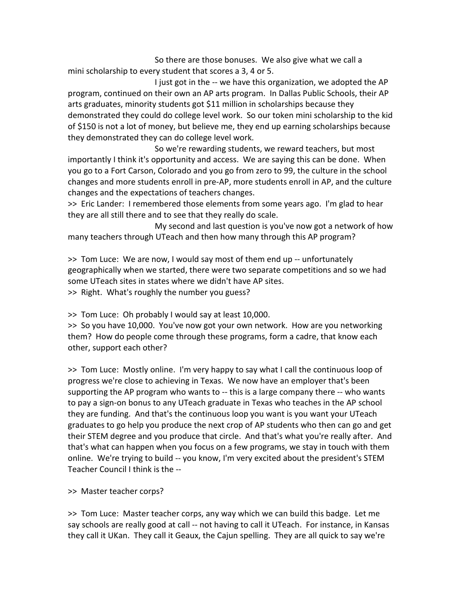So there are those bonuses. We also give what we call a mini scholarship to every student that scores a 3, 4 or 5.

I just got in the -- we have this organization, we adopted the AP program, continued on their own an AP arts program. In Dallas Public Schools, their AP arts graduates, minority students got \$11 million in scholarships because they demonstrated they could do college level work. So our token mini scholarship to the kid of \$150 is not a lot of money, but believe me, they end up earning scholarships because they demonstrated they can do college level work.

So we're rewarding students, we reward teachers, but most importantly I think it's opportunity and access. We are saying this can be done. When you go to a Fort Carson, Colorado and you go from zero to 99, the culture in the school changes and more students enroll in pre-AP, more students enroll in AP, and the culture changes and the expectations of teachers changes.

>> Eric Lander: I remembered those elements from some years ago. I'm glad to hear they are all still there and to see that they really do scale.

My second and last question is you've now got a network of how many teachers through UTeach and then how many through this AP program?

>> Tom Luce: We are now, I would say most of them end up -- unfortunately geographically when we started, there were two separate competitions and so we had some UTeach sites in states where we didn't have AP sites.

>> Right. What's roughly the number you guess?

>> Tom Luce: Oh probably I would say at least 10,000.

>> So you have 10,000. You've now got your own network. How are you networking them? How do people come through these programs, form a cadre, that know each other, support each other?

>> Tom Luce: Mostly online. I'm very happy to say what I call the continuous loop of progress we're close to achieving in Texas. We now have an employer that's been supporting the AP program who wants to -- this is a large company there -- who wants to pay a sign-on bonus to any UTeach graduate in Texas who teaches in the AP school they are funding. And that's the continuous loop you want is you want your UTeach graduates to go help you produce the next crop of AP students who then can go and get their STEM degree and you produce that circle. And that's what you're really after. And that's what can happen when you focus on a few programs, we stay in touch with them online. We're trying to build -- you know, I'm very excited about the president's STEM Teacher Council I think is the --

>> Master teacher corps?

>> Tom Luce: Master teacher corps, any way which we can build this badge. Let me say schools are really good at call -- not having to call it UTeach. For instance, in Kansas they call it UKan. They call it Geaux, the Cajun spelling. They are all quick to say we're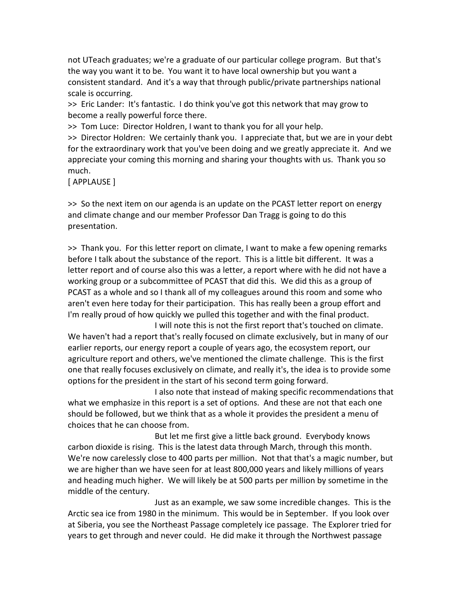not UTeach graduates; we're a graduate of our particular college program. But that's the way you want it to be. You want it to have local ownership but you want a consistent standard. And it's a way that through public/private partnerships national scale is occurring.

>> Eric Lander: It's fantastic. I do think you've got this network that may grow to become a really powerful force there.

>> Tom Luce: Director Holdren, I want to thank you for all your help.

>> Director Holdren: We certainly thank you. I appreciate that, but we are in your debt for the extraordinary work that you've been doing and we greatly appreciate it. And we appreciate your coming this morning and sharing your thoughts with us. Thank you so much.

[ APPLAUSE ]

>> So the next item on our agenda is an update on the PCAST letter report on energy and climate change and our member Professor Dan Tragg is going to do this presentation.

>> Thank you. For this letter report on climate, I want to make a few opening remarks before I talk about the substance of the report. This is a little bit different. It was a letter report and of course also this was a letter, a report where with he did not have a working group or a subcommittee of PCAST that did this. We did this as a group of PCAST as a whole and so I thank all of my colleagues around this room and some who aren't even here today for their participation. This has really been a group effort and I'm really proud of how quickly we pulled this together and with the final product.

I will note this is not the first report that's touched on climate. We haven't had a report that's really focused on climate exclusively, but in many of our earlier reports, our energy report a couple of years ago, the ecosystem report, our agriculture report and others, we've mentioned the climate challenge. This is the first one that really focuses exclusively on climate, and really it's, the idea is to provide some options for the president in the start of his second term going forward.

I also note that instead of making specific recommendations that what we emphasize in this report is a set of options. And these are not that each one should be followed, but we think that as a whole it provides the president a menu of choices that he can choose from.

But let me first give a little back ground. Everybody knows carbon dioxide is rising. This is the latest data through March, through this month. We're now carelessly close to 400 parts per million. Not that that's a magic number, but we are higher than we have seen for at least 800,000 years and likely millions of years and heading much higher. We will likely be at 500 parts per million by sometime in the middle of the century.

Just as an example, we saw some incredible changes. This is the Arctic sea ice from 1980 in the minimum. This would be in September. If you look over at Siberia, you see the Northeast Passage completely ice passage. The Explorer tried for years to get through and never could. He did make it through the Northwest passage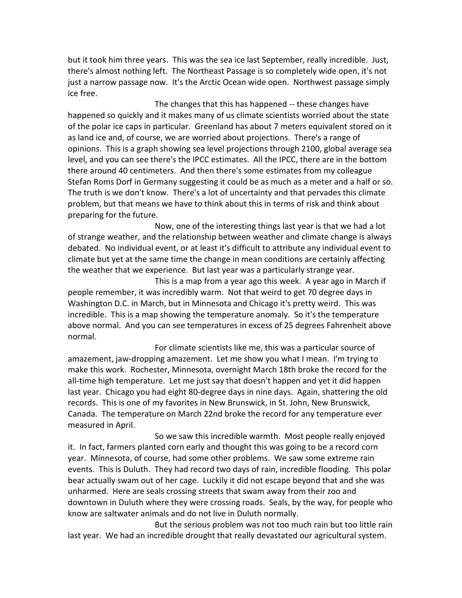but it took him three years. This was the sea ice last September, really incredible. Just, there's almost nothing left. The Northeast Passage is so completely wide open, it's not just a narrow passage now. It's the Arctic Ocean wide open. Northwest passage simply ice free.

The changes that this has happened -- these changes have happened so quickly and it makes many of us climate scientists worried about the state of the polar ice caps in particular. Greenland has about 7 meters equivalent stored on it as land ice and, of course, we are worried about projections. There's a range of opinions. This is a graph showing sea level projections through 2100, global average sea level, and you can see there's the IPCC estimates. All the IPCC, there are in the bottom there around 40 centimeters. And then there's some estimates from my colleague Stefan Roms Dorf in Germany suggesting it could be as much as a meter and a half or so. The truth is we don't know. There's a lot of uncertainty and that pervades this climate problem, but that means we have to think about this in terms of risk and think about preparing for the future.

Now, one of the interesting things last year is that we had a lot of strange weather, and the relationship between weather and climate change is always debated. No individual event, or at least it's difficult to attribute any individual event to climate but yet at the same time the change in mean conditions are certainly affecting the weather that we experience. But last year was a particularly strange year.

This is a map from a year ago this week. A year ago in March if people remember, it was incredibly warm. Not that weird to get 70 degree days in Washington D.C. in March, but in Minnesota and Chicago it's pretty weird. This was incredible. This is a map showing the temperature anomaly. So it's the temperature above normal. And you can see temperatures in excess of 25 degrees Fahrenheit above normal.

For climate scientists like me, this was a particular source of amazement, jaw-dropping amazement. Let me show you what I mean. I'm trying to make this work. Rochester, Minnesota, overnight March 18th broke the record for the all-time high temperature. Let me just say that doesn't happen and yet it did happen last year. Chicago you had eight 80-degree days in nine days. Again, shattering the old records. This is one of my favorites in New Brunswick, in St. John, New Brunswick, Canada. The temperature on March 22nd broke the record for any temperature ever measured in April.

So we saw this incredible warmth. Most people really enjoyed it. In fact, farmers planted corn early and thought this was going to be a record corn year. Minnesota, of course, had some other problems. We saw some extreme rain events. This is Duluth. They had record two days of rain, incredible flooding. This polar bear actually swam out of her cage. Luckily it did not escape beyond that and she was unharmed. Here are seals crossing streets that swam away from their zoo and downtown in Duluth where they were crossing roads. Seals, by the way, for people who know are saltwater animals and do not live in Duluth normally.

But the serious problem was not too much rain but too little rain last year. We had an incredible drought that really devastated our agricultural system.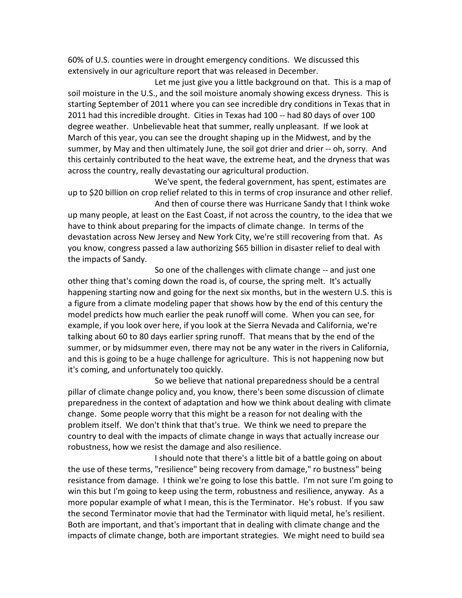60% of U.S. counties were in drought emergency conditions. We discussed this extensively in our agriculture report that was released in December.

Let me just give you a little background on that. This is a map of soil moisture in the U.S., and the soil moisture anomaly showing excess dryness. This is starting September of 2011 where you can see incredible dry conditions in Texas that in 2011 had this incredible drought. Cities in Texas had 100 -- had 80 days of over 100 degree weather. Unbelievable heat that summer, really unpleasant. If we look at March of this year, you can see the drought shaping up in the Midwest, and by the summer, by May and then ultimately June, the soil got drier and drier -- oh, sorry. And this certainly contributed to the heat wave, the extreme heat, and the dryness that was across the country, really devastating our agricultural production.

We've spent, the federal government, has spent, estimates are up to \$20 billion on crop relief related to this in terms of crop insurance and other relief.

And then of course there was Hurricane Sandy that I think woke up many people, at least on the East Coast, if not across the country, to the idea that we have to think about preparing for the impacts of climate change. In terms of the devastation across New Jersey and New York City, we're still recovering from that. As you know, congress passed a law authorizing \$65 billion in disaster relief to deal with the impacts of Sandy.

So one of the challenges with climate change -- and just one other thing that's coming down the road is, of course, the spring melt. It's actually happening starting now and going for the next six months, but in the western U.S. this is a figure from a climate modeling paper that shows how by the end of this century the model predicts how much earlier the peak runoff will come. When you can see, for example, if you look over here, if you look at the Sierra Nevada and California, we're talking about 60 to 80 days earlier spring runoff. That means that by the end of the summer, or by midsummer even, there may not be any water in the rivers in California, and this is going to be a huge challenge for agriculture. This is not happening now but it's coming, and unfortunately too quickly.

So we believe that national preparedness should be a central pillar of climate change policy and, you know, there's been some discussion of climate preparedness in the context of adaptation and how we think about dealing with climate change. Some people worry that this might be a reason for not dealing with the problem itself. We don't think that that's true. We think we need to prepare the country to deal with the impacts of climate change in ways that actually increase our robustness, how we resist the damage and also resilience.

I should note that there's a little bit of a battle going on about the use of these terms, "resilience" being recovery from damage," ro bustness" being resistance from damage. I think we're going to lose this battle. I'm not sure I'm going to win this but I'm going to keep using the term, robustness and resilience, anyway. As a more popular example of what I mean, this is the Terminator. He's robust. If you saw the second Terminator movie that had the Terminator with liquid metal, he's resilient. Both are important, and that's important that in dealing with climate change and the impacts of climate change, both are important strategies. We might need to build sea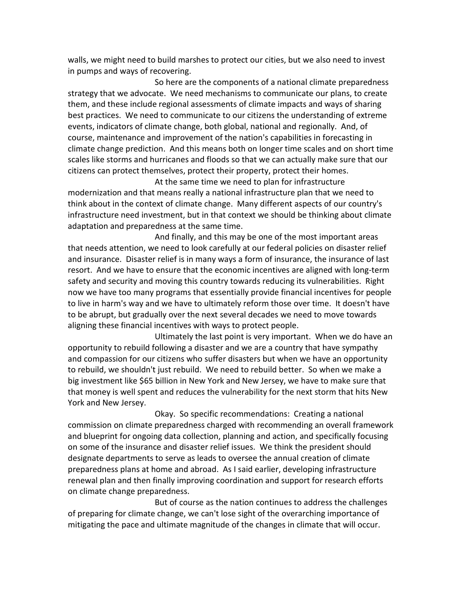walls, we might need to build marshes to protect our cities, but we also need to invest in pumps and ways of recovering.

So here are the components of a national climate preparedness strategy that we advocate. We need mechanisms to communicate our plans, to create them, and these include regional assessments of climate impacts and ways of sharing best practices. We need to communicate to our citizens the understanding of extreme events, indicators of climate change, both global, national and regionally. And, of course, maintenance and improvement of the nation's capabilities in forecasting in climate change prediction. And this means both on longer time scales and on short time scales like storms and hurricanes and floods so that we can actually make sure that our citizens can protect themselves, protect their property, protect their homes.

At the same time we need to plan for infrastructure modernization and that means really a national infrastructure plan that we need to think about in the context of climate change. Many different aspects of our country's infrastructure need investment, but in that context we should be thinking about climate adaptation and preparedness at the same time.

And finally, and this may be one of the most important areas that needs attention, we need to look carefully at our federal policies on disaster relief and insurance. Disaster relief is in many ways a form of insurance, the insurance of last resort. And we have to ensure that the economic incentives are aligned with long-term safety and security and moving this country towards reducing its vulnerabilities. Right now we have too many programs that essentially provide financial incentives for people to live in harm's way and we have to ultimately reform those over time. It doesn't have to be abrupt, but gradually over the next several decades we need to move towards aligning these financial incentives with ways to protect people.

Ultimately the last point is very important. When we do have an opportunity to rebuild following a disaster and we are a country that have sympathy and compassion for our citizens who suffer disasters but when we have an opportunity to rebuild, we shouldn't just rebuild. We need to rebuild better. So when we make a big investment like \$65 billion in New York and New Jersey, we have to make sure that that money is well spent and reduces the vulnerability for the next storm that hits New York and New Jersey.

Okay. So specific recommendations: Creating a national commission on climate preparedness charged with recommending an overall framework and blueprint for ongoing data collection, planning and action, and specifically focusing on some of the insurance and disaster relief issues. We think the president should designate departments to serve as leads to oversee the annual creation of climate preparedness plans at home and abroad. As I said earlier, developing infrastructure renewal plan and then finally improving coordination and support for research efforts on climate change preparedness.

But of course as the nation continues to address the challenges of preparing for climate change, we can't lose sight of the overarching importance of mitigating the pace and ultimate magnitude of the changes in climate that will occur.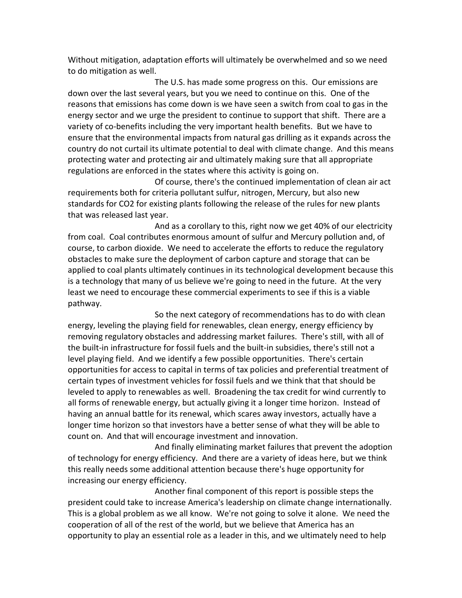Without mitigation, adaptation efforts will ultimately be overwhelmed and so we need to do mitigation as well.

The U.S. has made some progress on this. Our emissions are down over the last several years, but you we need to continue on this. One of the reasons that emissions has come down is we have seen a switch from coal to gas in the energy sector and we urge the president to continue to support that shift. There are a variety of co-benefits including the very important health benefits. But we have to ensure that the environmental impacts from natural gas drilling as it expands across the country do not curtail its ultimate potential to deal with climate change. And this means protecting water and protecting air and ultimately making sure that all appropriate regulations are enforced in the states where this activity is going on.

Of course, there's the continued implementation of clean air act requirements both for criteria pollutant sulfur, nitrogen, Mercury, but also new standards for CO2 for existing plants following the release of the rules for new plants that was released last year.

And as a corollary to this, right now we get 40% of our electricity from coal. Coal contributes enormous amount of sulfur and Mercury pollution and, of course, to carbon dioxide. We need to accelerate the efforts to reduce the regulatory obstacles to make sure the deployment of carbon capture and storage that can be applied to coal plants ultimately continues in its technological development because this is a technology that many of us believe we're going to need in the future. At the very least we need to encourage these commercial experiments to see if this is a viable pathway.

So the next category of recommendations has to do with clean energy, leveling the playing field for renewables, clean energy, energy efficiency by removing regulatory obstacles and addressing market failures. There's still, with all of the built-in infrastructure for fossil fuels and the built-in subsidies, there's still not a level playing field. And we identify a few possible opportunities. There's certain opportunities for access to capital in terms of tax policies and preferential treatment of certain types of investment vehicles for fossil fuels and we think that that should be leveled to apply to renewables as well. Broadening the tax credit for wind currently to all forms of renewable energy, but actually giving it a longer time horizon. Instead of having an annual battle for its renewal, which scares away investors, actually have a longer time horizon so that investors have a better sense of what they will be able to count on. And that will encourage investment and innovation.

And finally eliminating market failures that prevent the adoption of technology for energy efficiency. And there are a variety of ideas here, but we think this really needs some additional attention because there's huge opportunity for increasing our energy efficiency.

Another final component of this report is possible steps the president could take to increase America's leadership on climate change internationally. This is a global problem as we all know. We're not going to solve it alone. We need the cooperation of all of the rest of the world, but we believe that America has an opportunity to play an essential role as a leader in this, and we ultimately need to help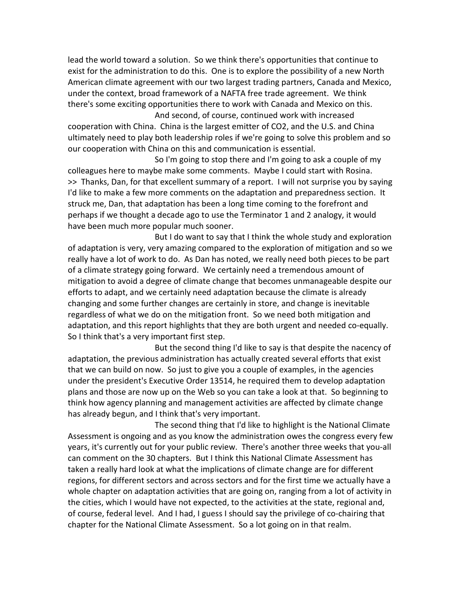lead the world toward a solution. So we think there's opportunities that continue to exist for the administration to do this. One is to explore the possibility of a new North American climate agreement with our two largest trading partners, Canada and Mexico, under the context, broad framework of a NAFTA free trade agreement. We think there's some exciting opportunities there to work with Canada and Mexico on this.

And second, of course, continued work with increased cooperation with China. China is the largest emitter of CO2, and the U.S. and China ultimately need to play both leadership roles if we're going to solve this problem and so our cooperation with China on this and communication is essential.

So I'm going to stop there and I'm going to ask a couple of my colleagues here to maybe make some comments. Maybe I could start with Rosina. >> Thanks, Dan, for that excellent summary of a report. I will not surprise you by saying I'd like to make a few more comments on the adaptation and preparedness section. It struck me, Dan, that adaptation has been a long time coming to the forefront and perhaps if we thought a decade ago to use the Terminator 1 and 2 analogy, it would have been much more popular much sooner.

But I do want to say that I think the whole study and exploration of adaptation is very, very amazing compared to the exploration of mitigation and so we really have a lot of work to do. As Dan has noted, we really need both pieces to be part of a climate strategy going forward. We certainly need a tremendous amount of mitigation to avoid a degree of climate change that becomes unmanageable despite our efforts to adapt, and we certainly need adaptation because the climate is already changing and some further changes are certainly in store, and change is inevitable regardless of what we do on the mitigation front. So we need both mitigation and adaptation, and this report highlights that they are both urgent and needed co-equally. So I think that's a very important first step.

But the second thing I'd like to say is that despite the nacency of adaptation, the previous administration has actually created several efforts that exist that we can build on now. So just to give you a couple of examples, in the agencies under the president's Executive Order 13514, he required them to develop adaptation plans and those are now up on the Web so you can take a look at that. So beginning to think how agency planning and management activities are affected by climate change has already begun, and I think that's very important.

The second thing that I'd like to highlight is the National Climate Assessment is ongoing and as you know the administration owes the congress every few years, it's currently out for your public review. There's another three weeks that you-all can comment on the 30 chapters. But I think this National Climate Assessment has taken a really hard look at what the implications of climate change are for different regions, for different sectors and across sectors and for the first time we actually have a whole chapter on adaptation activities that are going on, ranging from a lot of activity in the cities, which I would have not expected, to the activities at the state, regional and, of course, federal level. And I had, I guess I should say the privilege of co-chairing that chapter for the National Climate Assessment. So a lot going on in that realm.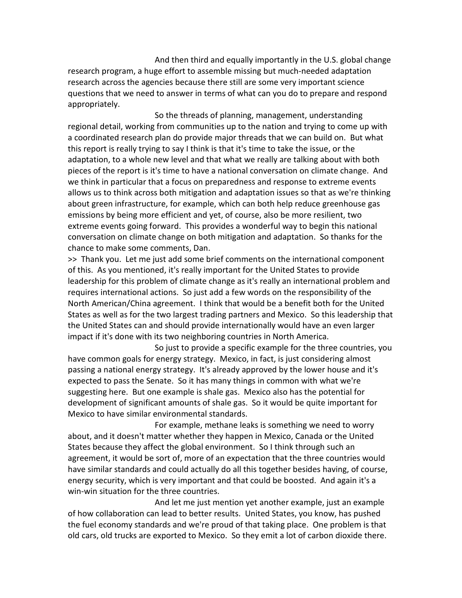And then third and equally importantly in the U.S. global change research program, a huge effort to assemble missing but much-needed adaptation research across the agencies because there still are some very important science questions that we need to answer in terms of what can you do to prepare and respond appropriately.

So the threads of planning, management, understanding regional detail, working from communities up to the nation and trying to come up with a coordinated research plan do provide major threads that we can build on. But what this report is really trying to say I think is that it's time to take the issue, or the adaptation, to a whole new level and that what we really are talking about with both pieces of the report is it's time to have a national conversation on climate change. And we think in particular that a focus on preparedness and response to extreme events allows us to think across both mitigation and adaptation issues so that as we're thinking about green infrastructure, for example, which can both help reduce greenhouse gas emissions by being more efficient and yet, of course, also be more resilient, two extreme events going forward. This provides a wonderful way to begin this national conversation on climate change on both mitigation and adaptation. So thanks for the chance to make some comments, Dan.

>> Thank you. Let me just add some brief comments on the international component of this. As you mentioned, it's really important for the United States to provide leadership for this problem of climate change as it's really an international problem and requires international actions. So just add a few words on the responsibility of the North American/China agreement. I think that would be a benefit both for the United States as well as for the two largest trading partners and Mexico. So this leadership that the United States can and should provide internationally would have an even larger impact if it's done with its two neighboring countries in North America.

So just to provide a specific example for the three countries, you have common goals for energy strategy. Mexico, in fact, is just considering almost passing a national energy strategy. It's already approved by the lower house and it's expected to pass the Senate. So it has many things in common with what we're suggesting here. But one example is shale gas. Mexico also has the potential for development of significant amounts of shale gas. So it would be quite important for Mexico to have similar environmental standards.

For example, methane leaks is something we need to worry about, and it doesn't matter whether they happen in Mexico, Canada or the United States because they affect the global environment. So I think through such an agreement, it would be sort of, more of an expectation that the three countries would have similar standards and could actually do all this together besides having, of course, energy security, which is very important and that could be boosted. And again it's a win-win situation for the three countries.

And let me just mention yet another example, just an example of how collaboration can lead to better results. United States, you know, has pushed the fuel economy standards and we're proud of that taking place. One problem is that old cars, old trucks are exported to Mexico. So they emit a lot of carbon dioxide there.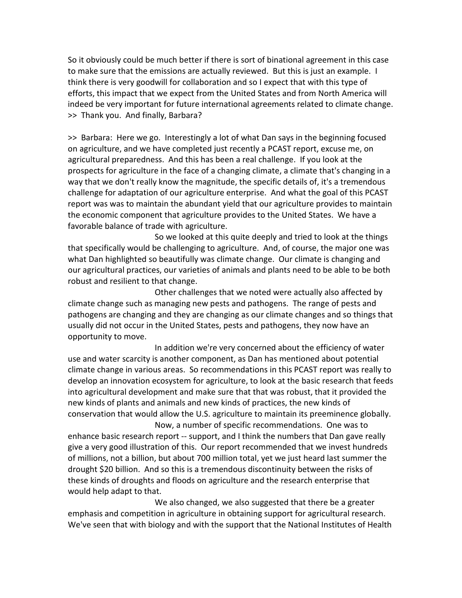So it obviously could be much better if there is sort of binational agreement in this case to make sure that the emissions are actually reviewed. But this is just an example. I think there is very goodwill for collaboration and so I expect that with this type of efforts, this impact that we expect from the United States and from North America will indeed be very important for future international agreements related to climate change. >> Thank you. And finally, Barbara?

>> Barbara: Here we go. Interestingly a lot of what Dan says in the beginning focused on agriculture, and we have completed just recently a PCAST report, excuse me, on agricultural preparedness. And this has been a real challenge. If you look at the prospects for agriculture in the face of a changing climate, a climate that's changing in a way that we don't really know the magnitude, the specific details of, it's a tremendous challenge for adaptation of our agriculture enterprise. And what the goal of this PCAST report was was to maintain the abundant yield that our agriculture provides to maintain the economic component that agriculture provides to the United States. We have a favorable balance of trade with agriculture.

So we looked at this quite deeply and tried to look at the things that specifically would be challenging to agriculture. And, of course, the major one was what Dan highlighted so beautifully was climate change. Our climate is changing and our agricultural practices, our varieties of animals and plants need to be able to be both robust and resilient to that change.

Other challenges that we noted were actually also affected by climate change such as managing new pests and pathogens. The range of pests and pathogens are changing and they are changing as our climate changes and so things that usually did not occur in the United States, pests and pathogens, they now have an opportunity to move.

In addition we're very concerned about the efficiency of water use and water scarcity is another component, as Dan has mentioned about potential climate change in various areas. So recommendations in this PCAST report was really to develop an innovation ecosystem for agriculture, to look at the basic research that feeds into agricultural development and make sure that that was robust, that it provided the new kinds of plants and animals and new kinds of practices, the new kinds of conservation that would allow the U.S. agriculture to maintain its preeminence globally.

Now, a number of specific recommendations. One was to enhance basic research report -- support, and I think the numbers that Dan gave really give a very good illustration of this. Our report recommended that we invest hundreds of millions, not a billion, but about 700 million total, yet we just heard last summer the drought \$20 billion. And so this is a tremendous discontinuity between the risks of these kinds of droughts and floods on agriculture and the research enterprise that would help adapt to that.

We also changed, we also suggested that there be a greater emphasis and competition in agriculture in obtaining support for agricultural research. We've seen that with biology and with the support that the National Institutes of Health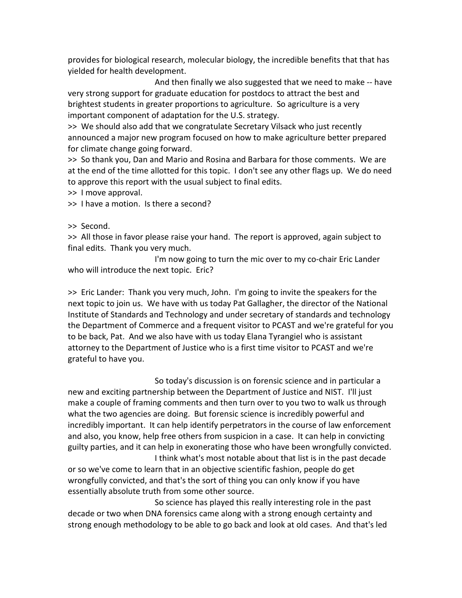provides for biological research, molecular biology, the incredible benefits that that has yielded for health development.

And then finally we also suggested that we need to make -- have very strong support for graduate education for postdocs to attract the best and brightest students in greater proportions to agriculture. So agriculture is a very important component of adaptation for the U.S. strategy.

>> We should also add that we congratulate Secretary Vilsack who just recently announced a major new program focused on how to make agriculture better prepared for climate change going forward.

>> So thank you, Dan and Mario and Rosina and Barbara for those comments. We are at the end of the time allotted for this topic. I don't see any other flags up. We do need to approve this report with the usual subject to final edits.

>> I move approval.

>> I have a motion. Is there a second?

>> Second.

>> All those in favor please raise your hand. The report is approved, again subject to final edits. Thank you very much.

I'm now going to turn the mic over to my co-chair Eric Lander who will introduce the next topic. Eric?

>> Eric Lander: Thank you very much, John. I'm going to invite the speakers for the next topic to join us. We have with us today Pat Gallagher, the director of the National Institute of Standards and Technology and under secretary of standards and technology the Department of Commerce and a frequent visitor to PCAST and we're grateful for you to be back, Pat. And we also have with us today Elana Tyrangiel who is assistant attorney to the Department of Justice who is a first time visitor to PCAST and we're grateful to have you.

So today's discussion is on forensic science and in particular a new and exciting partnership between the Department of Justice and NIST. I'll just make a couple of framing comments and then turn over to you two to walk us through what the two agencies are doing. But forensic science is incredibly powerful and incredibly important. It can help identify perpetrators in the course of law enforcement and also, you know, help free others from suspicion in a case. It can help in convicting guilty parties, and it can help in exonerating those who have been wrongfully convicted. I think what's most notable about that list is in the past decade

or so we've come to learn that in an objective scientific fashion, people do get wrongfully convicted, and that's the sort of thing you can only know if you have essentially absolute truth from some other source.

So science has played this really interesting role in the past decade or two when DNA forensics came along with a strong enough certainty and strong enough methodology to be able to go back and look at old cases. And that's led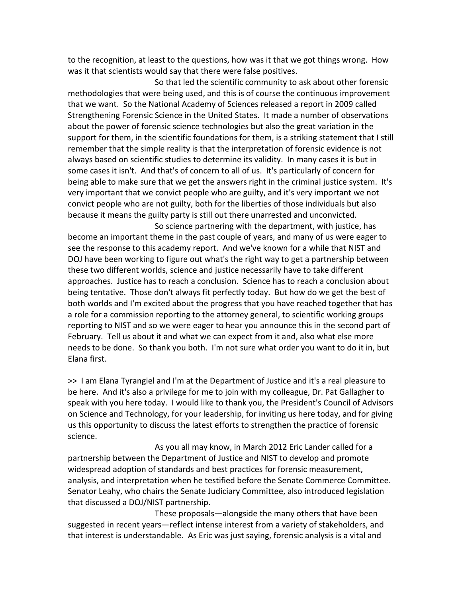to the recognition, at least to the questions, how was it that we got things wrong. How was it that scientists would say that there were false positives.

So that led the scientific community to ask about other forensic methodologies that were being used, and this is of course the continuous improvement that we want. So the National Academy of Sciences released a report in 2009 called Strengthening Forensic Science in the United States. It made a number of observations about the power of forensic science technologies but also the great variation in the support for them, in the scientific foundations for them, is a striking statement that I still remember that the simple reality is that the interpretation of forensic evidence is not always based on scientific studies to determine its validity. In many cases it is but in some cases it isn't. And that's of concern to all of us. It's particularly of concern for being able to make sure that we get the answers right in the criminal justice system. It's very important that we convict people who are guilty, and it's very important we not convict people who are not guilty, both for the liberties of those individuals but also because it means the guilty party is still out there unarrested and unconvicted.

So science partnering with the department, with justice, has become an important theme in the past couple of years, and many of us were eager to see the response to this academy report. And we've known for a while that NIST and DOJ have been working to figure out what's the right way to get a partnership between these two different worlds, science and justice necessarily have to take different approaches. Justice has to reach a conclusion. Science has to reach a conclusion about being tentative. Those don't always fit perfectly today. But how do we get the best of both worlds and I'm excited about the progress that you have reached together that has a role for a commission reporting to the attorney general, to scientific working groups reporting to NIST and so we were eager to hear you announce this in the second part of February. Tell us about it and what we can expect from it and, also what else more needs to be done. So thank you both. I'm not sure what order you want to do it in, but Elana first.

>> I am Elana Tyrangiel and I'm at the Department of Justice and it's a real pleasure to be here. And it's also a privilege for me to join with my colleague, Dr. Pat Gallagher to speak with you here today. I would like to thank you, the President's Council of Advisors on Science and Technology, for your leadership, for inviting us here today, and for giving us this opportunity to discuss the latest efforts to strengthen the practice of forensic science.

As you all may know, in March 2012 Eric Lander called for a partnership between the Department of Justice and NIST to develop and promote widespread adoption of standards and best practices for forensic measurement, analysis, and interpretation when he testified before the Senate Commerce Committee. Senator Leahy, who chairs the Senate Judiciary Committee, also introduced legislation that discussed a DOJ/NIST partnership.

These proposals—alongside the many others that have been suggested in recent years—reflect intense interest from a variety of stakeholders, and that interest is understandable. As Eric was just saying, forensic analysis is a vital and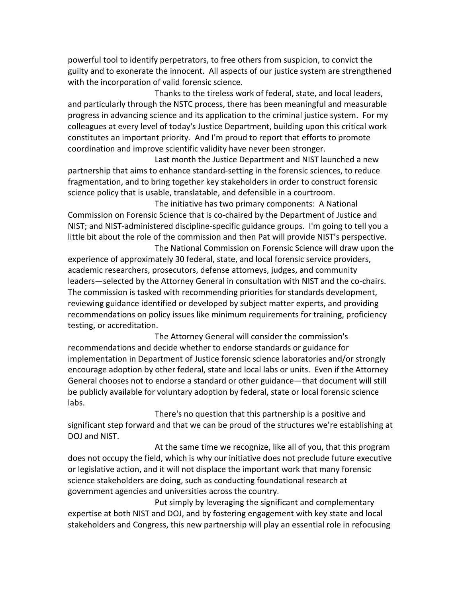powerful tool to identify perpetrators, to free others from suspicion, to convict the guilty and to exonerate the innocent. All aspects of our justice system are strengthened with the incorporation of valid forensic science.

Thanks to the tireless work of federal, state, and local leaders, and particularly through the NSTC process, there has been meaningful and measurable progress in advancing science and its application to the criminal justice system. For my colleagues at every level of today's Justice Department, building upon this critical work constitutes an important priority. And I'm proud to report that efforts to promote coordination and improve scientific validity have never been stronger.

Last month the Justice Department and NIST launched a new partnership that aims to enhance standard-setting in the forensic sciences, to reduce fragmentation, and to bring together key stakeholders in order to construct forensic science policy that is usable, translatable, and defensible in a courtroom.

The initiative has two primary components: A National Commission on Forensic Science that is co-chaired by the Department of Justice and NIST; and NIST-administered discipline-specific guidance groups. I'm going to tell you a little bit about the role of the commission and then Pat will provide NIST's perspective.

The National Commission on Forensic Science will draw upon the experience of approximately 30 federal, state, and local forensic service providers, academic researchers, prosecutors, defense attorneys, judges, and community leaders—selected by the Attorney General in consultation with NIST and the co-chairs. The commission is tasked with recommending priorities for standards development, reviewing guidance identified or developed by subject matter experts, and providing recommendations on policy issues like minimum requirements for training, proficiency testing, or accreditation.

The Attorney General will consider the commission's recommendations and decide whether to endorse standards or guidance for implementation in Department of Justice forensic science laboratories and/or strongly encourage adoption by other federal, state and local labs or units. Even if the Attorney General chooses not to endorse a standard or other guidance—that document will still be publicly available for voluntary adoption by federal, state or local forensic science labs.

There's no question that this partnership is a positive and significant step forward and that we can be proud of the structures we're establishing at DOJ and NIST.

At the same time we recognize, like all of you, that this program does not occupy the field, which is why our initiative does not preclude future executive or legislative action, and it will not displace the important work that many forensic science stakeholders are doing, such as conducting foundational research at government agencies and universities across the country.

Put simply by leveraging the significant and complementary expertise at both NIST and DOJ, and by fostering engagement with key state and local stakeholders and Congress, this new partnership will play an essential role in refocusing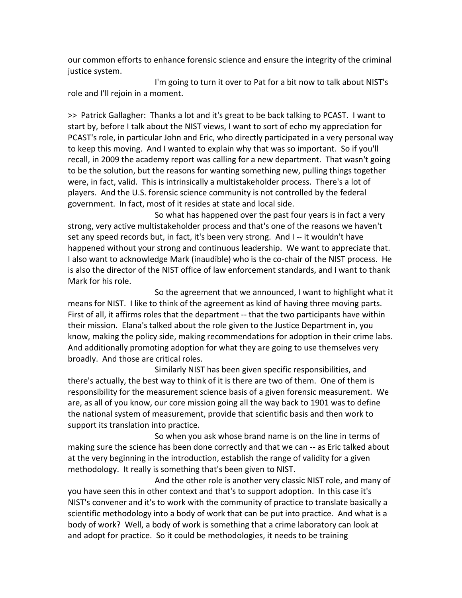our common efforts to enhance forensic science and ensure the integrity of the criminal justice system.

I'm going to turn it over to Pat for a bit now to talk about NIST's role and I'll rejoin in a moment.

>> Patrick Gallagher: Thanks a lot and it's great to be back talking to PCAST. I want to start by, before I talk about the NIST views, I want to sort of echo my appreciation for PCAST's role, in particular John and Eric, who directly participated in a very personal way to keep this moving. And I wanted to explain why that was so important. So if you'll recall, in 2009 the academy report was calling for a new department. That wasn't going to be the solution, but the reasons for wanting something new, pulling things together were, in fact, valid. This is intrinsically a multistakeholder process. There's a lot of players. And the U.S. forensic science community is not controlled by the federal government. In fact, most of it resides at state and local side.

So what has happened over the past four years is in fact a very strong, very active multistakeholder process and that's one of the reasons we haven't set any speed records but, in fact, it's been very strong. And I -- it wouldn't have happened without your strong and continuous leadership. We want to appreciate that. I also want to acknowledge Mark (inaudible) who is the co-chair of the NIST process. He is also the director of the NIST office of law enforcement standards, and I want to thank Mark for his role.

So the agreement that we announced, I want to highlight what it means for NIST. I like to think of the agreement as kind of having three moving parts. First of all, it affirms roles that the department -- that the two participants have within their mission. Elana's talked about the role given to the Justice Department in, you know, making the policy side, making recommendations for adoption in their crime labs. And additionally promoting adoption for what they are going to use themselves very broadly. And those are critical roles.

Similarly NIST has been given specific responsibilities, and there's actually, the best way to think of it is there are two of them. One of them is responsibility for the measurement science basis of a given forensic measurement. We are, as all of you know, our core mission going all the way back to 1901 was to define the national system of measurement, provide that scientific basis and then work to support its translation into practice.

So when you ask whose brand name is on the line in terms of making sure the science has been done correctly and that we can -- as Eric talked about at the very beginning in the introduction, establish the range of validity for a given methodology. It really is something that's been given to NIST.

And the other role is another very classic NIST role, and many of you have seen this in other context and that's to support adoption. In this case it's NIST's convener and it's to work with the community of practice to translate basically a scientific methodology into a body of work that can be put into practice. And what is a body of work? Well, a body of work is something that a crime laboratory can look at and adopt for practice. So it could be methodologies, it needs to be training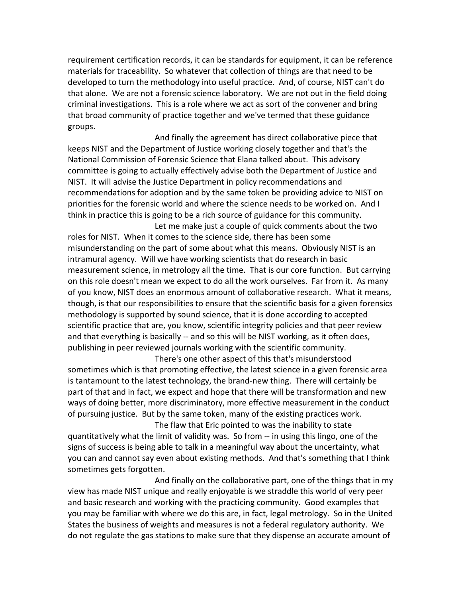requirement certification records, it can be standards for equipment, it can be reference materials for traceability. So whatever that collection of things are that need to be developed to turn the methodology into useful practice. And, of course, NIST can't do that alone. We are not a forensic science laboratory. We are not out in the field doing criminal investigations. This is a role where we act as sort of the convener and bring that broad community of practice together and we've termed that these guidance groups.

And finally the agreement has direct collaborative piece that keeps NIST and the Department of Justice working closely together and that's the National Commission of Forensic Science that Elana talked about. This advisory committee is going to actually effectively advise both the Department of Justice and NIST. It will advise the Justice Department in policy recommendations and recommendations for adoption and by the same token be providing advice to NIST on priorities for the forensic world and where the science needs to be worked on. And I think in practice this is going to be a rich source of guidance for this community.

Let me make just a couple of quick comments about the two roles for NIST. When it comes to the science side, there has been some misunderstanding on the part of some about what this means. Obviously NIST is an intramural agency. Will we have working scientists that do research in basic measurement science, in metrology all the time. That is our core function. But carrying on this role doesn't mean we expect to do all the work ourselves. Far from it. As many of you know, NIST does an enormous amount of collaborative research. What it means, though, is that our responsibilities to ensure that the scientific basis for a given forensics methodology is supported by sound science, that it is done according to accepted scientific practice that are, you know, scientific integrity policies and that peer review and that everything is basically -- and so this will be NIST working, as it often does, publishing in peer reviewed journals working with the scientific community.

There's one other aspect of this that's misunderstood sometimes which is that promoting effective, the latest science in a given forensic area is tantamount to the latest technology, the brand-new thing. There will certainly be part of that and in fact, we expect and hope that there will be transformation and new ways of doing better, more discriminatory, more effective measurement in the conduct of pursuing justice. But by the same token, many of the existing practices work.

The flaw that Eric pointed to was the inability to state quantitatively what the limit of validity was. So from -- in using this lingo, one of the signs of success is being able to talk in a meaningful way about the uncertainty, what you can and cannot say even about existing methods. And that's something that I think sometimes gets forgotten.

And finally on the collaborative part, one of the things that in my view has made NIST unique and really enjoyable is we straddle this world of very peer and basic research and working with the practicing community. Good examples that you may be familiar with where we do this are, in fact, legal metrology. So in the United States the business of weights and measures is not a federal regulatory authority. We do not regulate the gas stations to make sure that they dispense an accurate amount of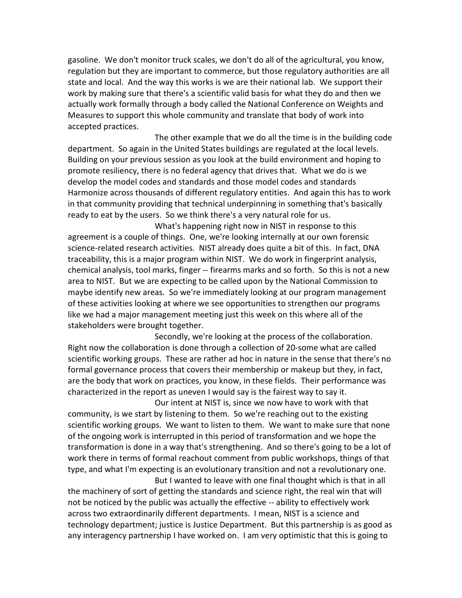gasoline. We don't monitor truck scales, we don't do all of the agricultural, you know, regulation but they are important to commerce, but those regulatory authorities are all state and local. And the way this works is we are their national lab. We support their work by making sure that there's a scientific valid basis for what they do and then we actually work formally through a body called the National Conference on Weights and Measures to support this whole community and translate that body of work into accepted practices.

The other example that we do all the time is in the building code department. So again in the United States buildings are regulated at the local levels. Building on your previous session as you look at the build environment and hoping to promote resiliency, there is no federal agency that drives that. What we do is we develop the model codes and standards and those model codes and standards Harmonize across thousands of different regulatory entities. And again this has to work in that community providing that technical underpinning in something that's basically ready to eat by the users. So we think there's a very natural role for us.

What's happening right now in NIST in response to this agreement is a couple of things. One, we're looking internally at our own forensic science-related research activities. NIST already does quite a bit of this. In fact, DNA traceability, this is a major program within NIST. We do work in fingerprint analysis, chemical analysis, tool marks, finger -- firearms marks and so forth. So this is not a new area to NIST. But we are expecting to be called upon by the National Commission to maybe identify new areas. So we're immediately looking at our program management of these activities looking at where we see opportunities to strengthen our programs like we had a major management meeting just this week on this where all of the stakeholders were brought together.

Secondly, we're looking at the process of the collaboration. Right now the collaboration is done through a collection of 20-some what are called scientific working groups. These are rather ad hoc in nature in the sense that there's no formal governance process that covers their membership or makeup but they, in fact, are the body that work on practices, you know, in these fields. Their performance was characterized in the report as uneven I would say is the fairest way to say it.

Our intent at NIST is, since we now have to work with that community, is we start by listening to them. So we're reaching out to the existing scientific working groups. We want to listen to them. We want to make sure that none of the ongoing work is interrupted in this period of transformation and we hope the transformation is done in a way that's strengthening. And so there's going to be a lot of work there in terms of formal reachout comment from public workshops, things of that type, and what I'm expecting is an evolutionary transition and not a revolutionary one. But I wanted to leave with one final thought which is that in all

the machinery of sort of getting the standards and science right, the real win that will not be noticed by the public was actually the effective -- ability to effectively work across two extraordinarily different departments. I mean, NIST is a science and technology department; justice is Justice Department. But this partnership is as good as any interagency partnership I have worked on. I am very optimistic that this is going to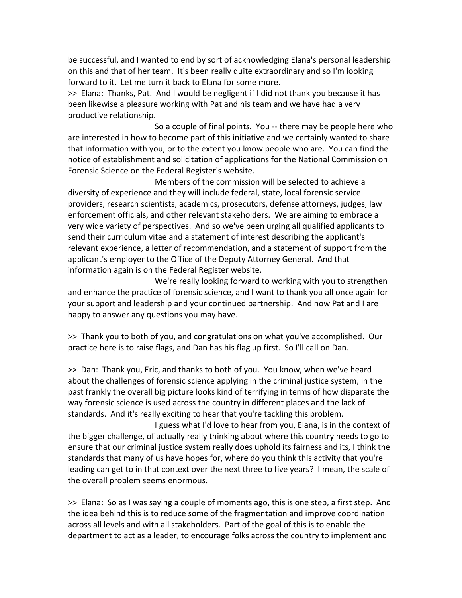be successful, and I wanted to end by sort of acknowledging Elana's personal leadership on this and that of her team. It's been really quite extraordinary and so I'm looking forward to it. Let me turn it back to Elana for some more.

>> Elana: Thanks, Pat. And I would be negligent if I did not thank you because it has been likewise a pleasure working with Pat and his team and we have had a very productive relationship.

So a couple of final points. You -- there may be people here who are interested in how to become part of this initiative and we certainly wanted to share that information with you, or to the extent you know people who are. You can find the notice of establishment and solicitation of applications for the National Commission on Forensic Science on the Federal Register's website.

Members of the commission will be selected to achieve a diversity of experience and they will include federal, state, local forensic service providers, research scientists, academics, prosecutors, defense attorneys, judges, law enforcement officials, and other relevant stakeholders. We are aiming to embrace a very wide variety of perspectives. And so we've been urging all qualified applicants to send their curriculum vitae and a statement of interest describing the applicant's relevant experience, a letter of recommendation, and a statement of support from the applicant's employer to the Office of the Deputy Attorney General. And that information again is on the Federal Register website.

We're really looking forward to working with you to strengthen and enhance the practice of forensic science, and I want to thank you all once again for your support and leadership and your continued partnership. And now Pat and I are happy to answer any questions you may have.

>> Thank you to both of you, and congratulations on what you've accomplished. Our practice here is to raise flags, and Dan has his flag up first. So I'll call on Dan.

>> Dan: Thank you, Eric, and thanks to both of you. You know, when we've heard about the challenges of forensic science applying in the criminal justice system, in the past frankly the overall big picture looks kind of terrifying in terms of how disparate the way forensic science is used across the country in different places and the lack of standards. And it's really exciting to hear that you're tackling this problem.

I guess what I'd love to hear from you, Elana, is in the context of the bigger challenge, of actually really thinking about where this country needs to go to ensure that our criminal justice system really does uphold its fairness and its, I think the standards that many of us have hopes for, where do you think this activity that you're leading can get to in that context over the next three to five years? I mean, the scale of the overall problem seems enormous.

>> Elana: So as I was saying a couple of moments ago, this is one step, a first step. And the idea behind this is to reduce some of the fragmentation and improve coordination across all levels and with all stakeholders. Part of the goal of this is to enable the department to act as a leader, to encourage folks across the country to implement and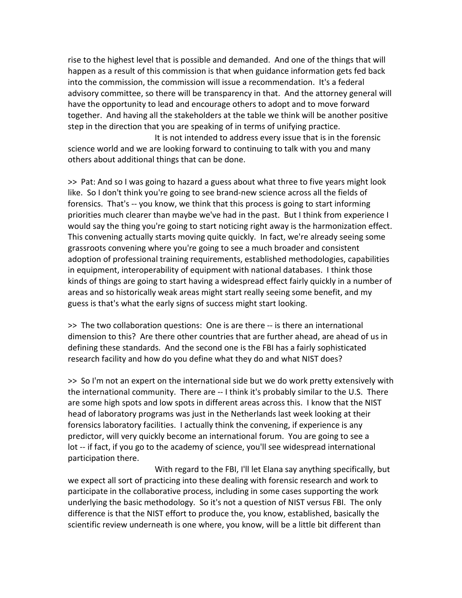rise to the highest level that is possible and demanded. And one of the things that will happen as a result of this commission is that when guidance information gets fed back into the commission, the commission will issue a recommendation. It's a federal advisory committee, so there will be transparency in that. And the attorney general will have the opportunity to lead and encourage others to adopt and to move forward together. And having all the stakeholders at the table we think will be another positive step in the direction that you are speaking of in terms of unifying practice.

It is not intended to address every issue that is in the forensic science world and we are looking forward to continuing to talk with you and many others about additional things that can be done.

>> Pat: And so I was going to hazard a guess about what three to five years might look like. So I don't think you're going to see brand-new science across all the fields of forensics. That's -- you know, we think that this process is going to start informing priorities much clearer than maybe we've had in the past. But I think from experience I would say the thing you're going to start noticing right away is the harmonization effect. This convening actually starts moving quite quickly. In fact, we're already seeing some grassroots convening where you're going to see a much broader and consistent adoption of professional training requirements, established methodologies, capabilities in equipment, interoperability of equipment with national databases. I think those kinds of things are going to start having a widespread effect fairly quickly in a number of areas and so historically weak areas might start really seeing some benefit, and my guess is that's what the early signs of success might start looking.

>> The two collaboration questions: One is are there -- is there an international dimension to this? Are there other countries that are further ahead, are ahead of us in defining these standards. And the second one is the FBI has a fairly sophisticated research facility and how do you define what they do and what NIST does?

>> So I'm not an expert on the international side but we do work pretty extensively with the international community. There are -- I think it's probably similar to the U.S. There are some high spots and low spots in different areas across this. I know that the NIST head of laboratory programs was just in the Netherlands last week looking at their forensics laboratory facilities. I actually think the convening, if experience is any predictor, will very quickly become an international forum. You are going to see a lot -- if fact, if you go to the academy of science, you'll see widespread international participation there.

With regard to the FBI, I'll let Elana say anything specifically, but we expect all sort of practicing into these dealing with forensic research and work to participate in the collaborative process, including in some cases supporting the work underlying the basic methodology. So it's not a question of NIST versus FBI. The only difference is that the NIST effort to produce the, you know, established, basically the scientific review underneath is one where, you know, will be a little bit different than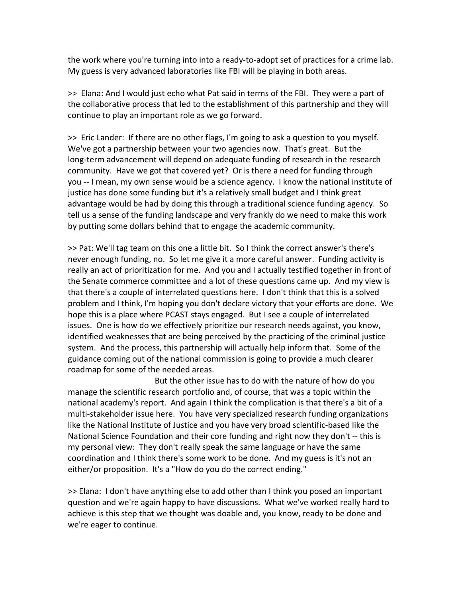the work where you're turning into into a ready-to-adopt set of practices for a crime lab. My guess is very advanced laboratories like FBI will be playing in both areas.

>> Elana: And I would just echo what Pat said in terms of the FBI. They were a part of the collaborative process that led to the establishment of this partnership and they will continue to play an important role as we go forward.

>> Eric Lander: If there are no other flags, I'm going to ask a question to you myself. We've got a partnership between your two agencies now. That's great. But the long-term advancement will depend on adequate funding of research in the research community. Have we got that covered yet? Or is there a need for funding through you -- I mean, my own sense would be a science agency. I know the national institute of justice has done some funding but it's a relatively small budget and I think great advantage would be had by doing this through a traditional science funding agency. So tell us a sense of the funding landscape and very frankly do we need to make this work by putting some dollars behind that to engage the academic community.

>> Pat: We'll tag team on this one a little bit. So I think the correct answer's there's never enough funding, no. So let me give it a more careful answer. Funding activity is really an act of prioritization for me. And you and I actually testified together in front of the Senate commerce committee and a lot of these questions came up. And my view is that there's a couple of interrelated questions here. I don't think that this is a solved problem and I think, I'm hoping you don't declare victory that your efforts are done. We hope this is a place where PCAST stays engaged. But I see a couple of interrelated issues. One is how do we effectively prioritize our research needs against, you know, identified weaknesses that are being perceived by the practicing of the criminal justice system. And the process, this partnership will actually help inform that. Some of the guidance coming out of the national commission is going to provide a much clearer roadmap for some of the needed areas.

But the other issue has to do with the nature of how do you manage the scientific research portfolio and, of course, that was a topic within the national academy's report. And again I think the complication is that there's a bit of a multi-stakeholder issue here. You have very specialized research funding organizations like the National Institute of Justice and you have very broad scientific-based like the National Science Foundation and their core funding and right now they don't -- this is my personal view: They don't really speak the same language or have the same coordination and I think there's some work to be done. And my guess is it's not an either/or proposition. It's a "How do you do the correct ending."

>> Elana: I don't have anything else to add other than I think you posed an important question and we're again happy to have discussions. What we've worked really hard to achieve is this step that we thought was doable and, you know, ready to be done and we're eager to continue.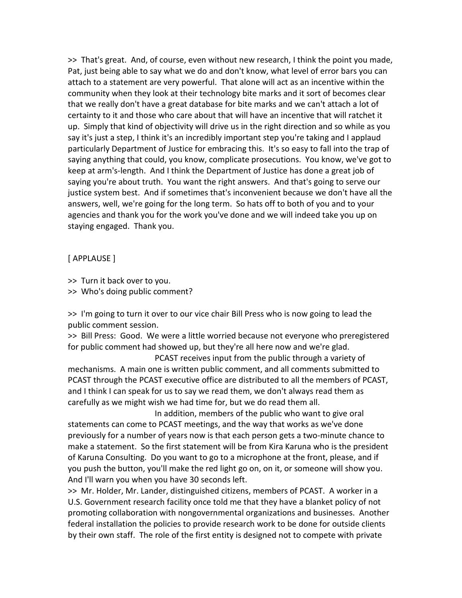>> That's great. And, of course, even without new research, I think the point you made, Pat, just being able to say what we do and don't know, what level of error bars you can attach to a statement are very powerful. That alone will act as an incentive within the community when they look at their technology bite marks and it sort of becomes clear that we really don't have a great database for bite marks and we can't attach a lot of certainty to it and those who care about that will have an incentive that will ratchet it up. Simply that kind of objectivity will drive us in the right direction and so while as you say it's just a step, I think it's an incredibly important step you're taking and I applaud particularly Department of Justice for embracing this. It's so easy to fall into the trap of saying anything that could, you know, complicate prosecutions. You know, we've got to keep at arm's-length. And I think the Department of Justice has done a great job of saying you're about truth. You want the right answers. And that's going to serve our justice system best. And if sometimes that's inconvenient because we don't have all the answers, well, we're going for the long term. So hats off to both of you and to your agencies and thank you for the work you've done and we will indeed take you up on staying engaged. Thank you.

## [ APPLAUSE ]

>> Turn it back over to you.

>> Who's doing public comment?

>> I'm going to turn it over to our vice chair Bill Press who is now going to lead the public comment session.

>> Bill Press: Good. We were a little worried because not everyone who preregistered for public comment had showed up, but they're all here now and we're glad.

PCAST receives input from the public through a variety of mechanisms. A main one is written public comment, and all comments submitted to PCAST through the PCAST executive office are distributed to all the members of PCAST, and I think I can speak for us to say we read them, we don't always read them as carefully as we might wish we had time for, but we do read them all.

In addition, members of the public who want to give oral statements can come to PCAST meetings, and the way that works as we've done previously for a number of years now is that each person gets a two-minute chance to make a statement. So the first statement will be from Kira Karuna who is the president of Karuna Consulting. Do you want to go to a microphone at the front, please, and if you push the button, you'll make the red light go on, on it, or someone will show you. And I'll warn you when you have 30 seconds left.

>> Mr. Holder, Mr. Lander, distinguished citizens, members of PCAST. A worker in a U.S. Government research facility once told me that they have a blanket policy of not promoting collaboration with nongovernmental organizations and businesses. Another federal installation the policies to provide research work to be done for outside clients by their own staff. The role of the first entity is designed not to compete with private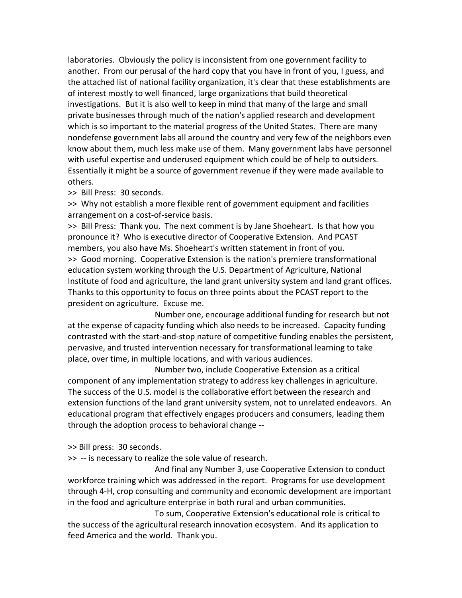laboratories. Obviously the policy is inconsistent from one government facility to another. From our perusal of the hard copy that you have in front of you, I guess, and the attached list of national facility organization, it's clear that these establishments are of interest mostly to well financed, large organizations that build theoretical investigations. But it is also well to keep in mind that many of the large and small private businesses through much of the nation's applied research and development which is so important to the material progress of the United States. There are many nondefense government labs all around the country and very few of the neighbors even know about them, much less make use of them. Many government labs have personnel with useful expertise and underused equipment which could be of help to outsiders. Essentially it might be a source of government revenue if they were made available to others.

>> Bill Press: 30 seconds.

>> Why not establish a more flexible rent of government equipment and facilities arrangement on a cost-of-service basis.

>> Bill Press: Thank you. The next comment is by Jane Shoeheart. Is that how you pronounce it? Who is executive director of Cooperative Extension. And PCAST members, you also have Ms. Shoeheart's written statement in front of you. >> Good morning. Cooperative Extension is the nation's premiere transformational education system working through the U.S. Department of Agriculture, National Institute of food and agriculture, the land grant university system and land grant offices. Thanks to this opportunity to focus on three points about the PCAST report to the president on agriculture. Excuse me.

Number one, encourage additional funding for research but not at the expense of capacity funding which also needs to be increased. Capacity funding contrasted with the start-and-stop nature of competitive funding enables the persistent, pervasive, and trusted intervention necessary for transformational learning to take place, over time, in multiple locations, and with various audiences.

Number two, include Cooperative Extension as a critical component of any implementation strategy to address key challenges in agriculture. The success of the U.S. model is the collaborative effort between the research and extension functions of the land grant university system, not to unrelated endeavors. An educational program that effectively engages producers and consumers, leading them through the adoption process to behavioral change --

>> Bill press: 30 seconds.

>> -- is necessary to realize the sole value of research.

And final any Number 3, use Cooperative Extension to conduct workforce training which was addressed in the report. Programs for use development through 4-H, crop consulting and community and economic development are important in the food and agriculture enterprise in both rural and urban communities.

To sum, Cooperative Extension's educational role is critical to the success of the agricultural research innovation ecosystem. And its application to feed America and the world. Thank you.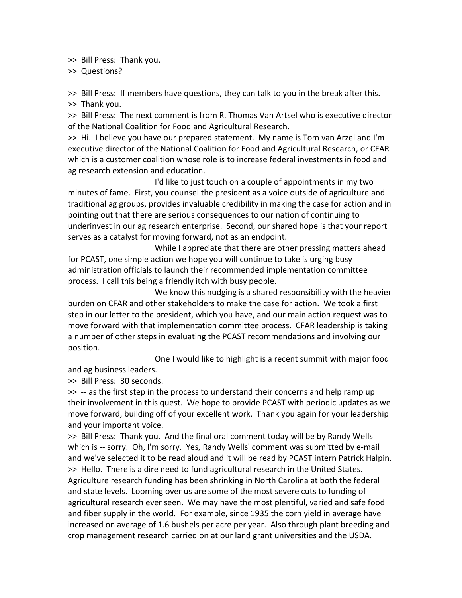>> Bill Press: Thank you.

>> Questions?

>> Bill Press: If members have questions, they can talk to you in the break after this. >> Thank you.

>> Bill Press: The next comment is from R. Thomas Van Artsel who is executive director of the National Coalition for Food and Agricultural Research.

>> Hi. I believe you have our prepared statement. My name is Tom van Arzel and I'm executive director of the National Coalition for Food and Agricultural Research, or CFAR which is a customer coalition whose role is to increase federal investments in food and ag research extension and education.

I'd like to just touch on a couple of appointments in my two minutes of fame. First, you counsel the president as a voice outside of agriculture and traditional ag groups, provides invaluable credibility in making the case for action and in pointing out that there are serious consequences to our nation of continuing to underinvest in our ag research enterprise. Second, our shared hope is that your report serves as a catalyst for moving forward, not as an endpoint.

While I appreciate that there are other pressing matters ahead for PCAST, one simple action we hope you will continue to take is urging busy administration officials to launch their recommended implementation committee process. I call this being a friendly itch with busy people.

We know this nudging is a shared responsibility with the heavier burden on CFAR and other stakeholders to make the case for action. We took a first step in our letter to the president, which you have, and our main action request was to move forward with that implementation committee process. CFAR leadership is taking a number of other steps in evaluating the PCAST recommendations and involving our position.

One I would like to highlight is a recent summit with major food and ag business leaders.

>> Bill Press: 30 seconds.

>> -- as the first step in the process to understand their concerns and help ramp up their involvement in this quest. We hope to provide PCAST with periodic updates as we move forward, building off of your excellent work. Thank you again for your leadership and your important voice.

>> Bill Press: Thank you. And the final oral comment today will be by Randy Wells which is -- sorry. Oh, I'm sorry. Yes, Randy Wells' comment was submitted by e-mail and we've selected it to be read aloud and it will be read by PCAST intern Patrick Halpin. >> Hello. There is a dire need to fund agricultural research in the United States. Agriculture research funding has been shrinking in North Carolina at both the federal and state levels. Looming over us are some of the most severe cuts to funding of agricultural research ever seen. We may have the most plentiful, varied and safe food and fiber supply in the world. For example, since 1935 the corn yield in average have increased on average of 1.6 bushels per acre per year. Also through plant breeding and crop management research carried on at our land grant universities and the USDA.